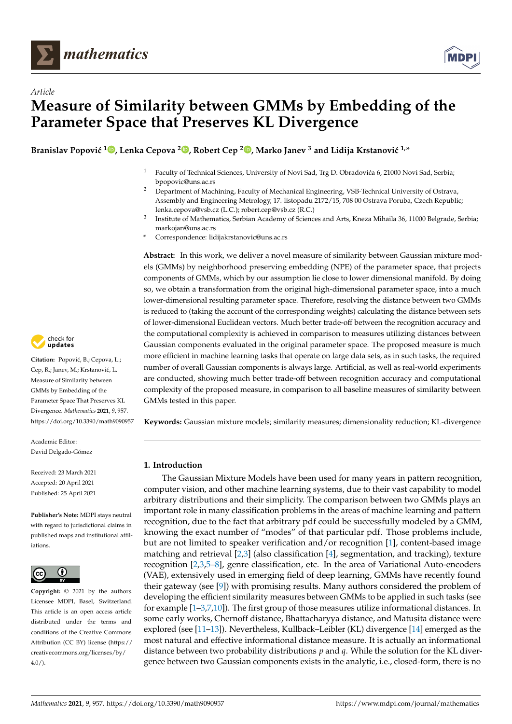



# *Article* **Measure of Similarity between GMMs by Embedding of the Parameter Space that Preserves KL Divergence**

 $\bf{B}$ ranislav Popović  $^{1}$   $\bf{D}$ [,](https://orcid.org/0000-0002-7328-9445) Lenka Cepova  $^{2}$  $^{2}$  $^{2}$   $\bf{D}$ , Robert Cep  $^{2}$   $\bf{D}$ , Marko Janev  $^{3}$  and Lidija Krstanović  $^{1,*}$ 

- <sup>1</sup> Faculty of Technical Sciences, University of Novi Sad, Trg D. Obradovića 6, 21000 Novi Sad, Serbia; bpopovic@uns.ac.rs
- <sup>2</sup> Department of Machining, Faculty of Mechanical Engineering, VSB-Technical University of Ostrava, Assembly and Engineering Metrology, 17. listopadu 2172/15, 708 00 Ostrava Poruba, Czech Republic; lenka.cepova@vsb.cz (L.C.); robert.cep@vsb.cz (R.C.)
- 3 Institute of Mathematics, Serbian Academy of Sciences and Arts, Kneza Mihaila 36, 11000 Belgrade, Serbia; markojan@uns.ac.rs
- **\*** Correspondence: lidijakrstanovic@uns.ac.rs

**Abstract:** In this work, we deliver a novel measure of similarity between Gaussian mixture models (GMMs) by neighborhood preserving embedding (NPE) of the parameter space, that projects components of GMMs, which by our assumption lie close to lower dimensional manifold. By doing so, we obtain a transformation from the original high-dimensional parameter space, into a much lower-dimensional resulting parameter space. Therefore, resolving the distance between two GMMs is reduced to (taking the account of the corresponding weights) calculating the distance between sets of lower-dimensional Euclidean vectors. Much better trade-off between the recognition accuracy and the computational complexity is achieved in comparison to measures utilizing distances between Gaussian components evaluated in the original parameter space. The proposed measure is much more efficient in machine learning tasks that operate on large data sets, as in such tasks, the required number of overall Gaussian components is always large. Artificial, as well as real-world experiments are conducted, showing much better trade-off between recognition accuracy and computational complexity of the proposed measure, in comparison to all baseline measures of similarity between GMMs tested in this paper.

**Keywords:** Gaussian mixture models; similarity measures; dimensionality reduction; KL-divergence

# **1. Introduction**

The Gaussian Mixture Models have been used for many years in pattern recognition, computer vision, and other machine learning systems, due to their vast capability to model arbitrary distributions and their simplicity. The comparison between two GMMs plays an important role in many classification problems in the areas of machine learning and pattern recognition, due to the fact that arbitrary pdf could be successfully modeled by a GMM, knowing the exact number of "modes" of that particular pdf. Those problems include, but are not limited to speaker verification and/or recognition [\[1\]](#page-19-0), content-based image matching and retrieval  $[2,3]$  $[2,3]$  (also classification  $[4]$ , segmentation, and tracking), texture recognition [\[2](#page-19-1)[,3](#page-19-2)[,5–](#page-19-4)[8\]](#page-19-5), genre classification, etc. In the area of Variational Auto-encoders (VAE), extensively used in emerging field of deep learning, GMMs have recently found their gateway (see [\[9\]](#page-19-6)) with promising results. Many authors considered the problem of developing the efficient similarity measures between GMMs to be applied in such tasks (see for example [\[1–](#page-19-0)[3,](#page-19-2)[7](#page-19-7)[,10\]](#page-19-8)). The first group of those measures utilize informational distances. In some early works, Chernoff distance, Bhattacharyya distance, and Matusita distance were explored (see [\[11–](#page-19-9)[13\]](#page-19-10)). Nevertheless, Kullback–Leibler (KL) divergence [\[14\]](#page-19-11) emerged as the most natural and effective informational distance measure. It is actually an informational distance between two probability distributions *p* and *q*. While the solution for the KL divergence between two Gaussian components exists in the analytic, i.e., closed-form, there is no



Citation: Popović, B.; Cepova, L.; Cep, R.; Janev, M.; Krstanović, L. Measure of Similarity between GMMs by Embedding of the Parameter Space That Preserves KL Divergence. *Mathematics* **2021**, *9*, 957. <https://doi.org/10.3390/math9090957>

Academic Editor: David Delgado-Gómez

Received: 23 March 2021 Accepted: 20 April 2021 Published: 25 April 2021

**Publisher's Note:** MDPI stays neutral with regard to jurisdictional claims in published maps and institutional affiliations.



**Copyright:** © 2021 by the authors. Licensee MDPI, Basel, Switzerland. This article is an open access article distributed under the terms and conditions of the Creative Commons Attribution (CC BY) license (https:/[/](https://creativecommons.org/licenses/by/4.0/) [creativecommons.org/licenses/by/](https://creativecommons.org/licenses/by/4.0/)  $4.0/$ ).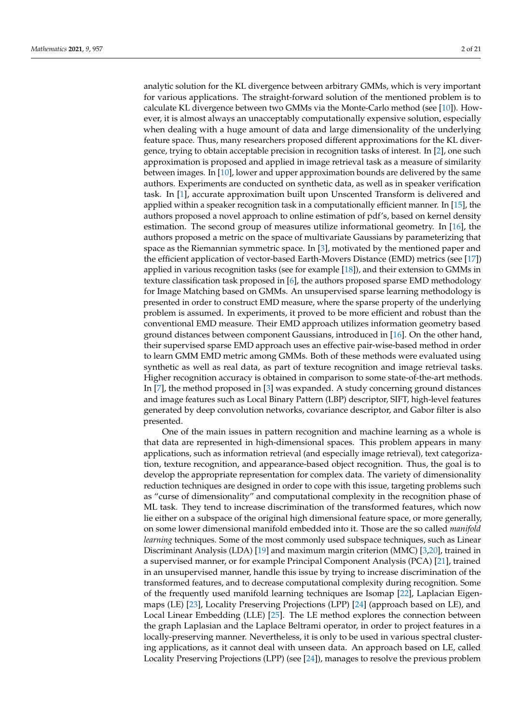analytic solution for the KL divergence between arbitrary GMMs, which is very important for various applications. The straight-forward solution of the mentioned problem is to calculate KL divergence between two GMMs via the Monte-Carlo method (see [\[10\]](#page-19-8)). However, it is almost always an unacceptably computationally expensive solution, especially when dealing with a huge amount of data and large dimensionality of the underlying feature space. Thus, many researchers proposed different approximations for the KL divergence, trying to obtain acceptable precision in recognition tasks of interest. In [\[2\]](#page-19-1), one such approximation is proposed and applied in image retrieval task as a measure of similarity between images. In [\[10\]](#page-19-8), lower and upper approximation bounds are delivered by the same authors. Experiments are conducted on synthetic data, as well as in speaker verification task. In [\[1\]](#page-19-0), accurate approximation built upon Unscented Transform is delivered and applied within a speaker recognition task in a computationally efficient manner. In [\[15\]](#page-19-12), the authors proposed a novel approach to online estimation of pdf's, based on kernel density estimation. The second group of measures utilize informational geometry. In [\[16\]](#page-19-13), the authors proposed a metric on the space of multivariate Gaussians by parameterizing that space as the Riemannian symmetric space. In [\[3\]](#page-19-2), motivated by the mentioned paper and the efficient application of vector-based Earth-Movers Distance (EMD) metrics (see [\[17\]](#page-19-14)) applied in various recognition tasks (see for example [\[18\]](#page-19-15)), and their extension to GMMs in texture classification task proposed in [\[6\]](#page-19-16), the authors proposed sparse EMD methodology for Image Matching based on GMMs. An unsupervised sparse learning methodology is presented in order to construct EMD measure, where the sparse property of the underlying problem is assumed. In experiments, it proved to be more efficient and robust than the conventional EMD measure. Their EMD approach utilizes information geometry based ground distances between component Gaussians, introduced in [\[16\]](#page-19-13). On the other hand, their supervised sparse EMD approach uses an effective pair-wise-based method in order to learn GMM EMD metric among GMMs. Both of these methods were evaluated using synthetic as well as real data, as part of texture recognition and image retrieval tasks. Higher recognition accuracy is obtained in comparison to some state-of-the-art methods. In [\[7\]](#page-19-7), the method proposed in [\[3\]](#page-19-2) was expanded. A study concerning ground distances and image features such as Local Binary Pattern (LBP) descriptor, SIFT, high-level features generated by deep convolution networks, covariance descriptor, and Gabor filter is also presented.

One of the main issues in pattern recognition and machine learning as a whole is that data are represented in high-dimensional spaces. This problem appears in many applications, such as information retrieval (and especially image retrieval), text categorization, texture recognition, and appearance-based object recognition. Thus, the goal is to develop the appropriate representation for complex data. The variety of dimensionality reduction techniques are designed in order to cope with this issue, targeting problems such as "curse of dimensionality" and computational complexity in the recognition phase of ML task. They tend to increase discrimination of the transformed features, which now lie either on a subspace of the original high dimensional feature space, or more generally, on some lower dimensional manifold embedded into it. Those are the so called *manifold learning* techniques. Some of the most commonly used subspace techniques, such as Linear Discriminant Analysis (LDA) [\[19\]](#page-19-17) and maximum margin criterion (MMC) [\[3,](#page-19-2)[20\]](#page-19-18), trained in a supervised manner, or for example Principal Component Analysis (PCA) [\[21\]](#page-19-19), trained in an unsupervised manner, handle this issue by trying to increase discrimination of the transformed features, and to decrease computational complexity during recognition. Some of the frequently used manifold learning techniques are Isomap [\[22\]](#page-19-20), Laplacian Eigenmaps (LE) [\[23\]](#page-19-21), Locality Preserving Projections (LPP) [\[24\]](#page-19-22) (approach based on LE), and Local Linear Embedding (LLE) [\[25\]](#page-19-23). The LE method explores the connection between the graph Laplasian and the Laplace Beltrami operator, in order to project features in a locally-preserving manner. Nevertheless, it is only to be used in various spectral clustering applications, as it cannot deal with unseen data. An approach based on LE, called Locality Preserving Projections (LPP) (see [\[24\]](#page-19-22)), manages to resolve the previous problem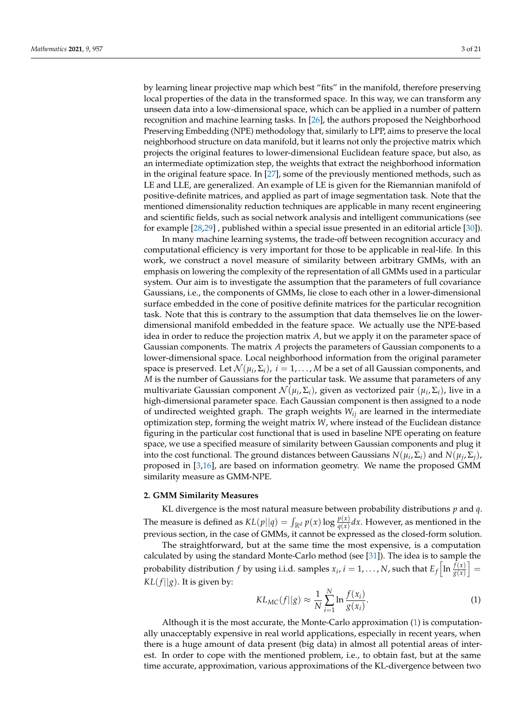by learning linear projective map which best "fits" in the manifold, therefore preserving local properties of the data in the transformed space. In this way, we can transform any unseen data into a low-dimensional space, which can be applied in a number of pattern recognition and machine learning tasks. In [\[26\]](#page-19-24), the authors proposed the Neighborhood Preserving Embedding (NPE) methodology that, similarly to LPP, aims to preserve the local neighborhood structure on data manifold, but it learns not only the projective matrix which projects the original features to lower-dimensional Euclidean feature space, but also, as an intermediate optimization step, the weights that extract the neighborhood information in the original feature space. In [\[27\]](#page-19-25), some of the previously mentioned methods, such as LE and LLE, are generalized. An example of LE is given for the Riemannian manifold of positive-definite matrices, and applied as part of image segmentation task. Note that the mentioned dimensionality reduction techniques are applicable in many recent engineering and scientific fields, such as social network analysis and intelligent communications (see for example [\[28,](#page-20-0)[29\]](#page-20-1) , published within a special issue presented in an editorial article [\[30\]](#page-20-2)).

In many machine learning systems, the trade-off between recognition accuracy and computational efficiency is very important for those to be applicable in real-life. In this work, we construct a novel measure of similarity between arbitrary GMMs, with an emphasis on lowering the complexity of the representation of all GMMs used in a particular system. Our aim is to investigate the assumption that the parameters of full covariance Gaussians, i.e., the components of GMMs, lie close to each other in a lower-dimensional surface embedded in the cone of positive definite matrices for the particular recognition task. Note that this is contrary to the assumption that data themselves lie on the lowerdimensional manifold embedded in the feature space. We actually use the NPE-based idea in order to reduce the projection matrix *A*, but we apply it on the parameter space of Gaussian components. The matrix *A* projects the parameters of Gaussian components to a lower-dimensional space. Local neighborhood information from the original parameter space is preserved. Let  $\mathcal{N}(\mu_i, \Sigma_i)$ ,  $i = 1, \ldots, M$  be a set of all Gaussian components, and *M* is the number of Gaussians for the particular task. We assume that parameters of any multivariate Gaussian component  $\mathcal{N}(\mu_i, \Sigma_i)$ , given as vectorized pair  $(\mu_i, \Sigma_i)$ , live in a high-dimensional parameter space. Each Gaussian component is then assigned to a node of undirected weighted graph. The graph weights *Wij* are learned in the intermediate optimization step, forming the weight matrix *W*, where instead of the Euclidean distance figuring in the particular cost functional that is used in baseline NPE operating on feature space, we use a specified measure of similarity between Gaussian components and plug it into the cost functional. The ground distances between Gaussians  $N(\mu_i, \Sigma_i)$  and  $N(\mu_j, \Sigma_j)$ , proposed in [\[3](#page-19-2)[,16\]](#page-19-13), are based on information geometry. We name the proposed GMM similarity measure as GMM-NPE.

#### <span id="page-2-1"></span>**2. GMM Similarity Measures**

KL divergence is the most natural measure between probability distributions *p* and *q*. The measure is defined as  $KL(p||q) = \int_{\mathbb{R}^d} p(x) \log \frac{p(x)}{q(x)} dx$ . However, as mentioned in the previous section, in the case of GMMs, it cannot be expressed as the closed-form solution.

The straightforward, but at the same time the most expensive, is a computation calculated by using the standard Monte-Carlo method (see [\[31\]](#page-20-3)). The idea is to sample the probability distribution *f* by using i.i.d. samples  $x_i$ ,  $i = 1, ..., N$ , such that  $E_f\left[\ln \frac{f(x)}{g(x)}\right] =$  $KL(f||g)$ . It is given by:

<span id="page-2-0"></span>
$$
KL_{MC}(f||g) \approx \frac{1}{N} \sum_{i=1}^{N} \ln \frac{f(x_i)}{g(x_i)}.
$$
\n(1)

Although it is the most accurate, the Monte-Carlo approximation [\(1\)](#page-2-0) is computationally unacceptably expensive in real world applications, especially in recent years, when there is a huge amount of data present (big data) in almost all potential areas of interest. In order to cope with the mentioned problem, i.e., to obtain fast, but at the same time accurate, approximation, various approximations of the KL-divergence between two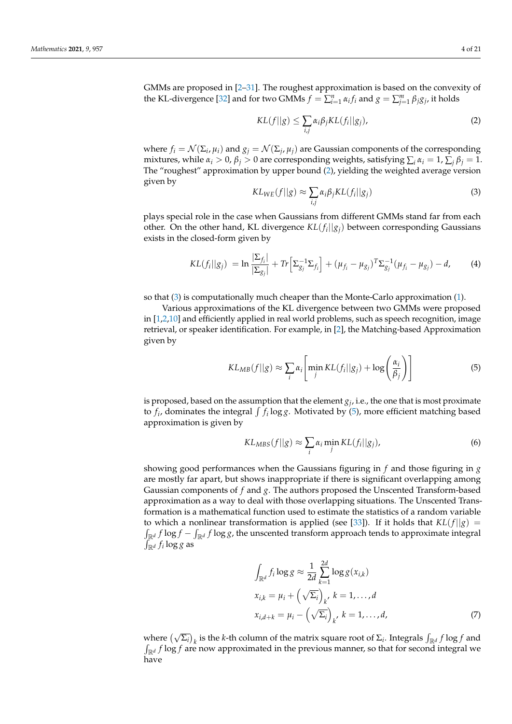GMMs are proposed in [\[2–](#page-19-1)[31\]](#page-20-3). The roughest approximation is based on the convexity of the KL-divergence [\[32\]](#page-20-4) and for two GMMs  $f = \sum_{i=1}^{n} \alpha_i f_i$  and  $g = \sum_{j=1}^{m} \beta_j g_j$ , it holds

<span id="page-3-0"></span>
$$
KL(f||g) \le \sum_{i,j} \alpha_i \beta_j KL(f_i||g_j), \tag{2}
$$

where  $f_i = \mathcal{N}(\Sigma_i, \mu_i)$  and  $g_j = \mathcal{N}(\Sigma_j, \mu_j)$  are Gaussian components of the corresponding mixtures, while  $\alpha_i > 0$ ,  $\beta_j > 0$  are corresponding weights, satisfying  $\sum_i \alpha_i = 1$ ,  $\sum_i \beta_j = 1$ . The "roughest" approximation by upper bound [\(2\)](#page-3-0), yielding the weighted average version given by

<span id="page-3-1"></span>
$$
KL_{WE}(f||g) \approx \sum_{i,j} \alpha_i \beta_j KL(f_i||g_j)
$$
\n(3)

plays special role in the case when Gaussians from different GMMs stand far from each other. On the other hand, KL divergence *KL*(*f<sup>i</sup>* ||*gj*) between corresponding Gaussians exists in the closed-form given by

<span id="page-3-3"></span>
$$
KL(f_i||g_j) = \ln \frac{|\Sigma_{f_i}|}{|\Sigma_{g_j}|} + Tr\left[\Sigma_{g_j}^{-1}\Sigma_{f_i}\right] + (\mu_{f_i} - \mu_{g_j})^T \Sigma_{g_j}^{-1} (\mu_{f_i} - \mu_{g_j}) - d,\tag{4}
$$

so that [\(3\)](#page-3-1) is computationally much cheaper than the Monte-Carlo approximation [\(1\)](#page-2-0).

Various approximations of the KL divergence between two GMMs were proposed in [\[1,](#page-19-0)[2,](#page-19-1)[10\]](#page-19-8) and efficiently applied in real world problems, such as speech recognition, image retrieval, or speaker identification. For example, in [\[2\]](#page-19-1), the Matching-based Approximation given by

<span id="page-3-2"></span>
$$
KL_{MB}(f||g) \approx \sum_{i} \alpha_i \left[ \min_{j} KL(f_i||g_j) + \log\left(\frac{\alpha_i}{\beta_j}\right) \right]
$$
(5)

is proposed, based on the assumption that the element  $g_j$ , i.e., the one that is most proximate to  $f_i$ , dominates the integral  $\int f_i \log g$ . Motivated by [\(5\)](#page-3-2), more efficient matching based approximation is given by

$$
KL_{MBS}(f||g) \approx \sum_{i} \alpha_i \min_{j} KL(f_i||g_j),
$$
\n(6)

showing good performances when the Gaussians figuring in *f* and those figuring in *g* are mostly far apart, but shows inappropriate if there is significant overlapping among Gaussian components of *f* and *g*. The authors proposed the Unscented Transform-based approximation as a way to deal with those overlapping situations. The Unscented Transformation is a mathematical function used to estimate the statistics of a random variable to which a nonlinear transformation is applied (see [\[33\]](#page-20-5)). If it holds that  $KL(f||g)$  =  $\int_{\mathbb{R}^d} f \log f - \int_{\mathbb{R}^d} f \log g$ , the unscented transform approach tends to approximate integral  $\int_{\mathbb{R}^d} f_i \log g$  as

$$
\int_{\mathbb{R}^d} f_i \log g \approx \frac{1}{2d} \sum_{k=1}^{2d} \log g(x_{i,k})
$$
\n
$$
x_{i,k} = \mu_i + \left(\sqrt{\Sigma_i}\right)_{k'} k = 1, \dots, d
$$
\n
$$
x_{i,d+k} = \mu_i - \left(\sqrt{\Sigma_i}\right)_{k'} k = 1, \dots, d,
$$
\n(7)

where  $(\sqrt{\Sigma_i})_k$  is the *k*-th column of the matrix square root of  $\Sigma_i$ . Integrals  $\int_{\mathbb{R}^d} f \log f$  and  $\int_{\mathbb{R}^d} f \log f$  are now approximated in the previous manner, so that for second integral we have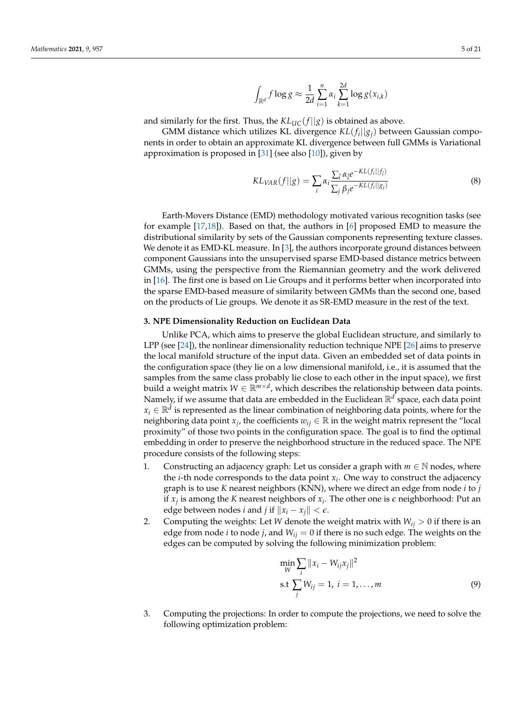<span id="page-4-1"></span>
$$
\int_{\mathbb{R}^d} f \log g \approx \frac{1}{2d} \sum_{i=1}^n \alpha_i \sum_{k=1}^{2d} \log g(x_{i,k})
$$

and similarly for the first. Thus, the  $KL_{UC}(f||g)$  is obtained as above.

GMM distance which utilizes KL divergence *KL*(*f<sup>i</sup>* ||*gj*) between Gaussian components in order to obtain an approximate KL divergence between full GMMs is Variational approximation is proposed in  $[31]$  (see also  $[10]$ ), given by

$$
KL_{VAR}(f||g) = \sum_{i} \alpha_i \frac{\sum_{i} \alpha_i e^{-KL(f_i||f_i)}}{\sum_{j} \beta_j e^{-KL(f_i||g_j)}}
$$
(8)

Earth-Movers Distance (EMD) methodology motivated various recognition tasks (see for example [\[17,](#page-19-14)[18\]](#page-19-15)). Based on that, the authors in [\[6\]](#page-19-16) proposed EMD to measure the distributional similarity by sets of the Gaussian components representing texture classes. We denote it as EMD-KL measure. In  $[3]$ , the authors incorporate ground distances between component Gaussians into the unsupervised sparse EMD-based distance metrics between GMMs, using the perspective from the Riemannian geometry and the work delivered in [\[16\]](#page-19-13). The first one is based on Lie Groups and it performs better when incorporated into the sparse EMD-based measure of similarity between GMMs than the second one, based on the products of Lie groups. We denote it as SR-EMD measure in the rest of the text.

#### <span id="page-4-0"></span>**3. NPE Dimensionality Reduction on Euclidean Data**

Unlike PCA, which aims to preserve the global Euclidean structure, and similarly to LPP (see [\[24\]](#page-19-22)), the nonlinear dimensionality reduction technique NPE [\[26\]](#page-19-24) aims to preserve the local manifold structure of the input data. Given an embedded set of data points in the configuration space (they lie on a low dimensional manifold, i.e., it is assumed that the samples from the same class probably lie close to each other in the input space), we first build a weight matrix *W* ∈ R*m*×*<sup>d</sup>* , which describes the relationship between data points. Namely, if we assume that data are embedded in the Euclidean R*<sup>d</sup>* space, each data point  $x_i \in \mathbb{R}^d$  is represented as the linear combination of neighboring data points, where for the neighboring data point  $x_j$ , the coefficients  $w_{ij} \in \mathbb{R}$  in the weight matrix represent the "local proximity" of those two points in the configuration space. The goal is to find the optimal embedding in order to preserve the neighborhood structure in the reduced space. The NPE procedure consists of the following steps:

- 1. Constructing an adjacency graph: Let us consider a graph with  $m \in \mathbb{N}$  nodes, where the *i*-th node corresponds to the data point *x<sup>i</sup>* . One way to construct the adjacency graph is to use *K* nearest neighbors (KNN), where we direct an edge from node *i* to *j* if  $x_j$  is among the *K* nearest neighbors of  $x_i$ . The other one is  $\epsilon$  neighborhood: Put an edge between nodes *i* and *j* if  $||x_i - x_j|| < \epsilon$ .
- 2. Computing the weights: Let *W* denote the weight matrix with  $W_{ii} > 0$  if there is an edge from node *i* to node *j*, and  $W_{ij} = 0$  if there is no such edge. The weights on the edges can be computed by solving the following minimization problem:

$$
\min_{W} \sum_{i} ||x_{i} - W_{ij}x_{j}||^{2}
$$
  
s.t  $\sum_{j} W_{ij} = 1, i = 1,...,m$  (9)

3. Computing the projections: In order to compute the projections, we need to solve the following optimization problem: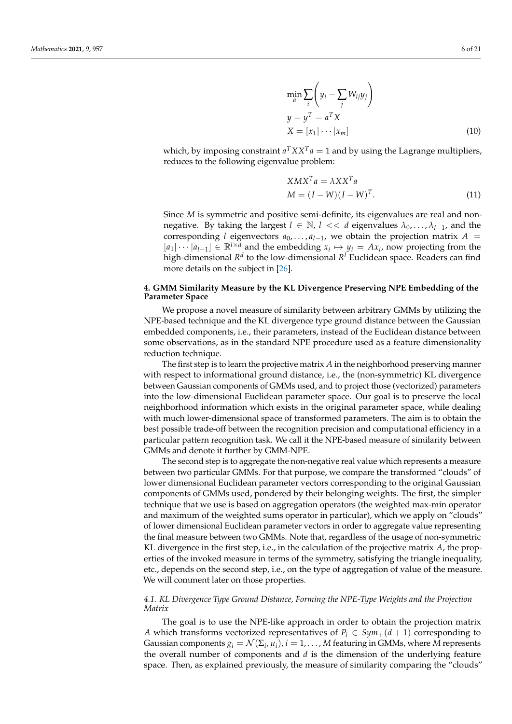$$
\min_{a} \sum_{i} \left( y_i - \sum_{j} W_{ij} y_j \right)
$$
  
\n
$$
y = y^T = a^T X
$$
  
\n
$$
X = [x_1 | \cdots | x_m]
$$
\n(10)

which, by imposing constraint  $a^T X X^T a = 1$  and by using the Lagrange multipliers, reduces to the following eigenvalue problem:

<span id="page-5-0"></span>
$$
XMX^{T}a = \lambda XX^{T}a
$$
  
\n
$$
M = (I - W)(I - W)^{T}.
$$
\n(11)

Since *M* is symmetric and positive semi-definite, its eigenvalues are real and nonnegative. By taking the largest  $l \in \mathbb{N}$ ,  $l \ll d$  eigenvalues  $\lambda_0, \ldots, \lambda_{l-1}$ , and the corresponding *l* eigenvectors  $a_0$ , ...,  $a_{l-1}$ , we obtain the projection matrix  $A =$  $[a_1|\cdots|a_{l-1}] \in \mathbb{R}^{l \times d}$  and the embedding  $x_i \mapsto y_i = Ax_i$ , now projecting from the high-dimensional  $R^d$  to the low-dimensional  $R^l$  Euclidean space. Readers can find more details on the subject in [\[26\]](#page-19-24).

# **4. GMM Similarity Measure by the KL Divergence Preserving NPE Embedding of the Parameter Space**

We propose a novel measure of similarity between arbitrary GMMs by utilizing the NPE-based technique and the KL divergence type ground distance between the Gaussian embedded components, i.e., their parameters, instead of the Euclidean distance between some observations, as in the standard NPE procedure used as a feature dimensionality reduction technique.

The first step is to learn the projective matrix *A* in the neighborhood preserving manner with respect to informational ground distance, i.e., the (non-symmetric) KL divergence between Gaussian components of GMMs used, and to project those (vectorized) parameters into the low-dimensional Euclidean parameter space. Our goal is to preserve the local neighborhood information which exists in the original parameter space, while dealing with much lower-dimensional space of transformed parameters. The aim is to obtain the best possible trade-off between the recognition precision and computational efficiency in a particular pattern recognition task. We call it the NPE-based measure of similarity between GMMs and denote it further by GMM-NPE.

The second step is to aggregate the non-negative real value which represents a measure between two particular GMMs. For that purpose, we compare the transformed "clouds" of lower dimensional Euclidean parameter vectors corresponding to the original Gaussian components of GMMs used, pondered by their belonging weights. The first, the simpler technique that we use is based on aggregation operators (the weighted max-min operator and maximum of the weighted sums operator in particular), which we apply on "clouds" of lower dimensional Euclidean parameter vectors in order to aggregate value representing the final measure between two GMMs. Note that, regardless of the usage of non-symmetric KL divergence in the first step, i.e., in the calculation of the projective matrix *A*, the properties of the invoked measure in terms of the symmetry, satisfying the triangle inequality, etc., depends on the second step, i.e., on the type of aggregation of value of the measure. We will comment later on those properties.

## <span id="page-5-1"></span>*4.1. KL Divergence Type Ground Distance, Forming the NPE-Type Weights and the Projection Matrix*

The goal is to use the NPE-like approach in order to obtain the projection matrix *A* which transforms vectorized representatives of  $P_i \in Sym_+(d+1)$  corresponding to Gaussian components  $g_i = \mathcal{N}(\Sigma_i, \mu_i)$ ,  $i = 1, \ldots, M$  featuring in GMMs, where  $M$  represents the overall number of components and *d* is the dimension of the underlying feature space. Then, as explained previously, the measure of similarity comparing the "clouds"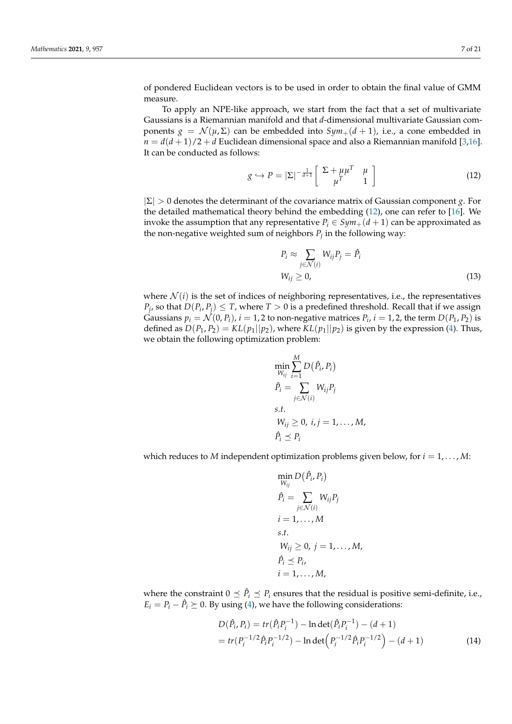of pondered Euclidean vectors is to be used in order to obtain the final value of GMM measure.

To apply an NPE-like approach, we start from the fact that a set of multivariate Gaussians is a Riemannian manifold and that *d*-dimensional multivariate Gaussian components  $g = \mathcal{N}(\mu, \Sigma)$  can be embedded into  $Sym_+(d+1)$ , i.e., a cone embedded in  $n = d(d+1)/2 + d$  Euclidean dimensional space and also a Riemannian manifold [\[3,](#page-19-2)[16\]](#page-19-13). It can be conducted as follows:

<span id="page-6-0"></span>
$$
g \hookrightarrow P = |\Sigma|^{-\frac{1}{d+1}} \left[ \begin{array}{cc} \Sigma + \mu \mu^T & \mu \\ \mu^T & 1 \end{array} \right] \tag{12}
$$

|Σ| > 0 denotes the determinant of the covariance matrix of Gaussian component *g*. For the detailed mathematical theory behind the embedding [\(12\)](#page-6-0), one can refer to [\[16\]](#page-19-13). We invoke the assumption that any representative  $P_i \in Sym_+(d+1)$  can be approximated as the non-negative weighted sum of neighbors  $P_j$  in the following way:

$$
P_i \approx \sum_{j \in \mathcal{N}(i)} W_{ij} P_j = \hat{P}_i
$$
  
\n
$$
W_{ij} \ge 0,
$$
\n(13)

where  $\mathcal{N}(i)$  is the set of indices of neighboring representatives, i.e., the representatives  $P_j$ , so that  $D(P_i, P_j) \leq T$ , where  $T > 0$  is a predefined threshold. Recall that if we assign Gaussians  $p_i = \mathcal{N}(0, P_i)$ ,  $i = 1, 2$  to non-negative matrices  $P_i$ ,  $i = 1, 2$ , the term  $D(P_1, P_2)$  is defined as  $D(P_1, P_2) = KL(p_1||p_2)$ , where  $KL(p_1||p_2)$  is given by the expression [\(4\)](#page-3-3). Thus, we obtain the following optimization problem:

<span id="page-6-1"></span>
$$
\min_{W_{ij}} \sum_{i=1}^{M} D(\hat{P}_i, P_i)
$$
\n
$$
\hat{P}_i = \sum_{j \in \mathcal{N}(i)} W_{ij} P_j
$$
\n
$$
s.t.
$$
\n
$$
W_{ij} \geq 0, i, j = 1, ..., M,
$$
\n
$$
\hat{P}_i \leq P_i
$$

which reduces to *M* independent optimization problems given below, for  $i = 1, \ldots, M$ :

$$
\min_{W_{ij}} D(\hat{P}_i, P_i)
$$
\n
$$
\hat{P}_i = \sum_{j \in \mathcal{N}(i)} W_{ij} P_j
$$
\n
$$
i = 1, ..., M
$$
\n
$$
s.t.
$$
\n
$$
W_{ij} \ge 0, j = 1, ..., M,
$$
\n
$$
\hat{P}_i \le P_i,
$$
\n
$$
i = 1, ..., M,
$$

where the constraint  $0 \leq \hat{P}_i \leq P_i$  ensures that the residual is positive semi-definite, i.e.,  $E_i = P_i - \hat{P}_i \succeq 0$ . By using [\(4\)](#page-3-3), we have the following considerations:

$$
D(\hat{P}_i, P_i) = tr(\hat{P}_i P_i^{-1}) - \ln \det(\hat{P}_i P_i^{-1}) - (d+1)
$$
  
= tr(P\_i^{-1/2} \hat{P}\_i P\_i^{-1/2}) - \ln \det(P\_i^{-1/2} \hat{P}\_i P\_i^{-1/2}) - (d+1) (14)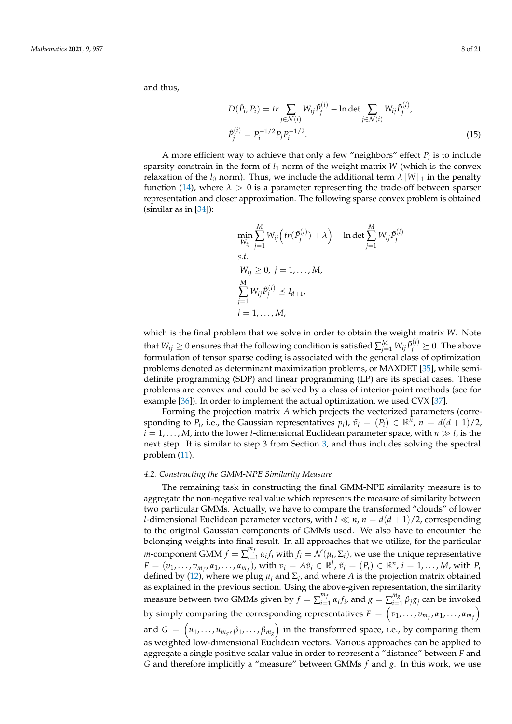and thus,

$$
D(\hat{P}_i, P_i) = tr \sum_{j \in \mathcal{N}(i)} W_{ij} \tilde{P}_j^{(i)} - \ln \det \sum_{j \in \mathcal{N}(i)} W_{ij} \tilde{P}_j^{(i)},
$$
  

$$
\tilde{P}_j^{(i)} = P_i^{-1/2} P_j P_i^{-1/2}.
$$
 (15)

A more efficient way to achieve that only a few "neighbors" effect *P<sup>i</sup>* is to include sparsity constrain in the form of  $l_1$  norm of the weight matrix *W* (which is the convex relaxation of the  $l_0$  norm). Thus, we include the additional term  $\lambda ||W||_1$  in the penalty function [\(14\)](#page-6-1), where  $\lambda > 0$  is a parameter representing the trade-off between sparser representation and closer approximation. The following sparse convex problem is obtained (similar as in  $[34]$ ):

<span id="page-7-0"></span>
$$
\min_{W_{ij}} \sum_{j=1}^{M} W_{ij} \left( tr(\tilde{P}_{j}^{(i)}) + \lambda \right) - \ln \det \sum_{j=1}^{M} W_{ij} \tilde{P}_{j}^{(i)}
$$
\ns.t.  
\n
$$
W_{ij} \ge 0, j = 1,..., M,
$$
\n
$$
\sum_{j=1}^{M} W_{ij} \tilde{P}_{j}^{(i)} \preceq I_{d+1},
$$
\n
$$
i = 1,..., M,
$$

which is the final problem that we solve in order to obtain the weight matrix *W*. Note that  $W_{ij}\geq 0$  ensures that the following condition is satisfied  $\sum_{j=1}^M W_{ij} \tilde{P}^{(i)}_j \succeq 0.$  The above formulation of tensor sparse coding is associated with the general class of optimization problems denoted as determinant maximization problems, or MAXDET [\[35\]](#page-20-7), while semidefinite programming (SDP) and linear programming (LP) are its special cases. These problems are convex and could be solved by a class of interior-point methods (see for example [\[36\]](#page-20-8)). In order to implement the actual optimization, we used CVX [\[37\]](#page-20-9).

Forming the projection matrix *A* which projects the vectorized parameters (corresponding to  $P_i$ , i.e., the Gaussian representatives  $p_i$ ),  $\tilde{v}_i = (P_i) \in \mathbb{R}^n$ ,  $n = d(d+1)/2$ ,  $i = 1, \ldots, M$ , into the lower *l*-dimensional Euclidean parameter space, with  $n \gg l$ , is the next step. It is similar to step 3 from Section [3,](#page-4-0) and thus includes solving the spectral problem [\(11\)](#page-5-0).

## <span id="page-7-1"></span>*4.2. Constructing the GMM-NPE Similarity Measure*

The remaining task in constructing the final GMM-NPE similarity measure is to aggregate the non-negative real value which represents the measure of similarity between two particular GMMs. Actually, we have to compare the transformed "clouds" of lower *l*-dimensional Euclidean parameter vectors, with  $l \ll n$ ,  $n = d(d+1)/2$ , corresponding to the original Gaussian components of GMMs used. We also have to encounter the belonging weights into final result. In all approaches that we utilize, for the particular *m*-component GMM  $f = \sum_{i=1}^{m}$  $C_{i=1}^{m_f}$   $\alpha_i f_i$  with  $f_i = \mathcal{N}(\mu_i, \Sigma_i)$ , we use the unique representative  $F=(v_1,\ldots,v_{m_f},\alpha_1,\ldots,\alpha_{m_f}),$  with  $v_i=A\tilde{v}_i\in\mathbb{R}^l$ ,  $\tilde{v}_i=(P_i)\in\mathbb{R}^n$ ,  $i=1,\ldots,M$ , with  $P_i$ defined by [\(12\)](#page-6-0), where we plug  $\mu_i$  and  $\Sigma_i$ , and where *A* is the projection matrix obtained as explained in the previous section. Using the above-given representation, the similarity measure between two GMMs given by  $f = \sum_{i=1}^{m}$  $\sum_{i=1}^{m_f} \alpha_i f_i$ , and  $g = \sum_{i=1}^{m_g}$  $\sum_{i=1}^{m_g} \beta_j g_j$  can be invoked by simply comparing the corresponding representatives  $F = \left(v_1, \ldots, v_{m_f}, \alpha_1, \ldots, \alpha_{m_f}\right)$ and  $G\,=\,\left(\mu_1,\ldots,\mu_{m_{g}},\beta_1,\ldots,\beta_{m_{g}}\right)$  in the transformed space, i.e., by comparing them as weighted low-dimensional Euclidean vectors. Various approaches can be applied to aggregate a single positive scalar value in order to represent a "distance" between *F* and *G* and therefore implicitly a "measure" between GMMs *f* and *g*. In this work, we use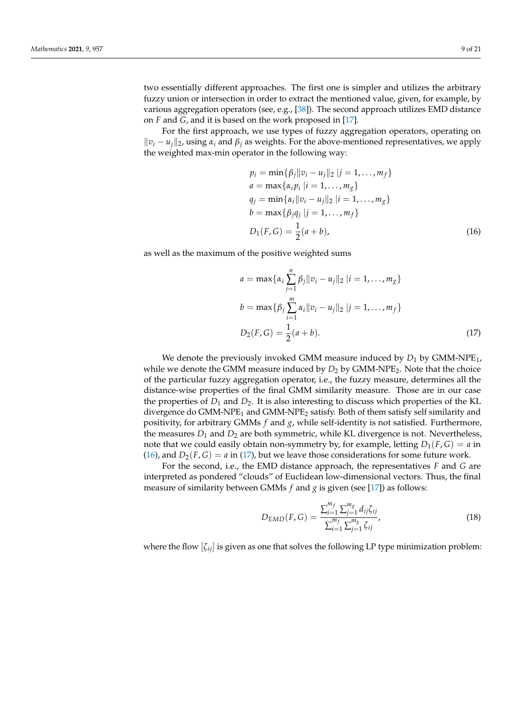two essentially different approaches. The first one is simpler and utilizes the arbitrary fuzzy union or intersection in order to extract the mentioned value, given, for example, by various aggregation operators (see, e.g., [\[38\]](#page-20-10)). The second approach utilizes EMD distance on *F* and *G*, and it is based on the work proposed in [\[17\]](#page-19-14).

For the first approach, we use types of fuzzy aggregation operators, operating on  $\|v_i - u_i\|_2$ , using  $\alpha_i$  and  $\beta_i$  as weights. For the above-mentioned representatives, we apply the weighted max-min operator in the following way:

$$
p_i = \min{\{\beta_j || v_i - u_j ||_2 | j = 1, ..., m_f\}}
$$
  
\n
$$
a = \max{\{\alpha_i p_i | i = 1, ..., m_g\}}
$$
  
\n
$$
q_j = \min{\{\alpha_i || v_i - u_j ||_2 | i = 1, ..., m_g\}}
$$
  
\n
$$
b = \max{\{\beta_j q_j | j = 1, ..., m_f\}}
$$
  
\n
$$
D_1(F, G) = \frac{1}{2}(a + b),
$$
\n(16)

as well as the maximum of the positive weighted sums

<span id="page-8-0"></span>
$$
a = \max\{\alpha_i \sum_{j=1}^n \beta_j ||v_i - u_j||_2 | i = 1, ..., m_g\}
$$
  
\n
$$
b = \max\{\beta_j \sum_{i=1}^m \alpha_i ||v_i - u_j||_2 | j = 1, ..., m_f\}
$$
  
\n
$$
D_2(F, G) = \frac{1}{2}(a + b).
$$
\n(17)

We denote the previously invoked GMM measure induced by  $D_1$  by GMM-NPE<sub>1</sub>, while we denote the GMM measure induced by  $D_2$  by GMM-NPE<sub>2</sub>. Note that the choice of the particular fuzzy aggregation operator, i.e., the fuzzy measure, determines all the distance-wise properties of the final GMM similarity measure. Those are in our case the properties of  $D_1$  and  $D_2$ . It is also interesting to discuss which properties of the KL divergence do GMM-NPE<sub>1</sub> and GMM-NPE<sub>2</sub> satisfy. Both of them satisfy self similarity and positivity, for arbitrary GMMs *f* and *g*, while self-identity is not satisfied. Furthermore, the measures  $D_1$  and  $D_2$  are both symmetric, while KL divergence is not. Nevertheless, note that we could easily obtain non-symmetry by, for example, letting  $D_1(F, G) = a$  in [\(16\)](#page-7-0), and  $D_2(F, G) = a$  in [\(17\)](#page-8-0), but we leave those considerations for some future work.

For the second, i.e., the EMD distance approach, the representatives *F* and *G* are interpreted as pondered "clouds" of Euclidean low-dimensional vectors. Thus, the final measure of similarity between GMMs  $f$  and  $g$  is given (see [\[17\]](#page-19-14)) as follows:

<span id="page-8-1"></span>
$$
D_{EMD}(F, G) = \frac{\sum_{i=1}^{m_f} \sum_{j=1}^{m_g} d_{ij} \zeta_{ij}}{\sum_{i=1}^{m_f} \sum_{j=1}^{m_g} \zeta_{ij}},
$$
(18)

where the flow [*ζij*] is given as one that solves the following LP type minimization problem: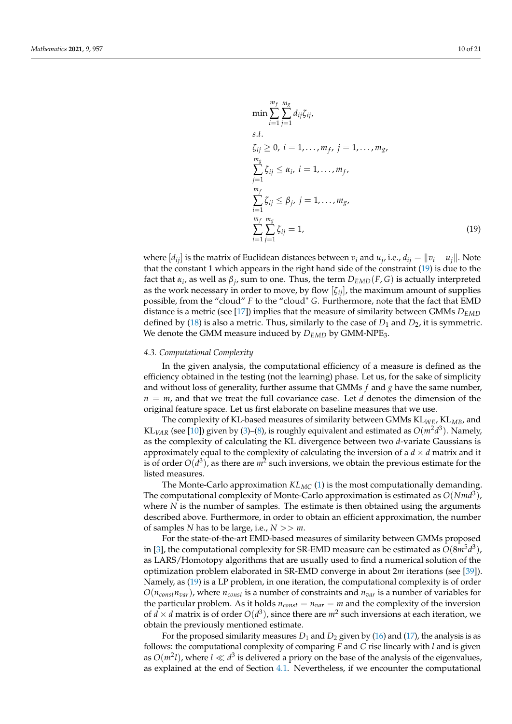<span id="page-9-0"></span>
$$
\min \sum_{i=1}^{m_f} \sum_{j=1}^{m_g} d_{ij} \zeta_{ij},
$$
\ns.t.  
\n
$$
\zeta_{ij} \ge 0, \ i = 1, ..., m_f, \ j = 1, ..., m_g,
$$
\n
$$
\sum_{j=1}^{m_g} \zeta_{ij} \le \alpha_i, \ i = 1, ..., m_f,
$$
\n
$$
\sum_{i=1}^{m_f} \zeta_{ij} \le \beta_j, \ j = 1, ..., m_g,
$$
\n
$$
\sum_{i=1}^{m_f} \sum_{j=1}^{m_g} \zeta_{ij} = 1,
$$
\n(19)

where  $[d_{ij}]$  is the matrix of Euclidean distances between  $v_i$  and  $u_j$ , i.e.,  $d_{ij} = ||v_i - u_j||$ . Note that the constant 1 which appears in the right hand side of the constraint [\(19\)](#page-9-0) is due to the fact that  $\alpha_i$ , as well as  $\beta_j$ , sum to one. Thus, the term  $D_{EMD}(F, G)$  is actually interpreted as the work necessary in order to move, by flow  $[\zeta_{ii}]$ , the maximum amount of supplies possible, from the "cloud" *F* to the "cloud" *G*. Furthermore, note that the fact that EMD distance is a metric (see [\[17\]](#page-19-14)) implies that the measure of similarity between GMMs *DEMD* defined by [\(18\)](#page-8-1) is also a metric. Thus, similarly to the case of  $D_1$  and  $D_2$ , it is symmetric. We denote the GMM measure induced by  $D_{EMD}$  by GMM-NPE<sub>3</sub>.

## <span id="page-9-1"></span>*4.3. Computational Complexity*

In the given analysis, the computational efficiency of a measure is defined as the efficiency obtained in the testing (not the learning) phase. Let us, for the sake of simplicity and without loss of generality, further assume that GMMs *f* and *g* have the same number,  $n = m$ , and that we treat the full covariance case. Let *d* denotes the dimension of the original feature space. Let us first elaborate on baseline measures that we use.

The complexity of KL-based measures of similarity between GMMs KL*WE*, KL*MB*, and KL<sub>VAR</sub> (see [\[10\]](#page-19-8)) given by [\(3\)](#page-3-1)–[\(8\)](#page-4-1), is roughly equivalent and estimated as  $O(m^2d^3)$ . Namely, as the complexity of calculating the KL divergence between two *d*-variate Gaussians is approximately equal to the complexity of calculating the inversion of a  $d \times d$  matrix and it is of order  $O(d^3)$ , as there are  $m^2$  such inversions, we obtain the previous estimate for the listed measures.

The Monte-Carlo approximation *KLMC* [\(1\)](#page-2-0) is the most computationally demanding. The computational complexity of Monte-Carlo approximation is estimated as *O*(*Nmd*<sup>3</sup> ), where *N* is the number of samples. The estimate is then obtained using the arguments described above. Furthermore, in order to obtain an efficient approximation, the number of samples *N* has to be large, i.e.,  $N \gg m$ .

For the state-of-the-art EMD-based measures of similarity between GMMs proposed in [\[3\]](#page-19-2), the computational complexity for SR-EMD measure can be estimated as *O*(8*m*5*d* 3 ), as LARS/Homotopy algorithms that are usually used to find a numerical solution of the optimization problem elaborated in SR-EMD converge in about 2*m* iterations (see [\[39\]](#page-20-11)). Namely, as [\(19\)](#page-9-0) is a LP problem, in one iteration, the computational complexity is of order  $O(n_{const}n_{var})$ , where  $n_{const}$  is a number of constraints and  $n_{var}$  is a number of variables for the particular problem. As it holds  $n_{const} = n_{var} = m$  and the complexity of the inversion of  $d \times d$  matrix is of order  $O(d^3)$ , since there are  $m^2$  such inversions at each iteration, we obtain the previously mentioned estimate.

For the proposed similarity measures  $D_1$  and  $D_2$  given by [\(16\)](#page-7-0) and [\(17\)](#page-8-0), the analysis is as follows: the computational complexity of comparing *F* and *G* rise linearly with *l* and is given as  $O(m^2l)$ , where  $l \ll d^3$  is delivered a priory on the base of the analysis of the eigenvalues, as explained at the end of Section [4.1.](#page-5-1) Nevertheless, if we encounter the computational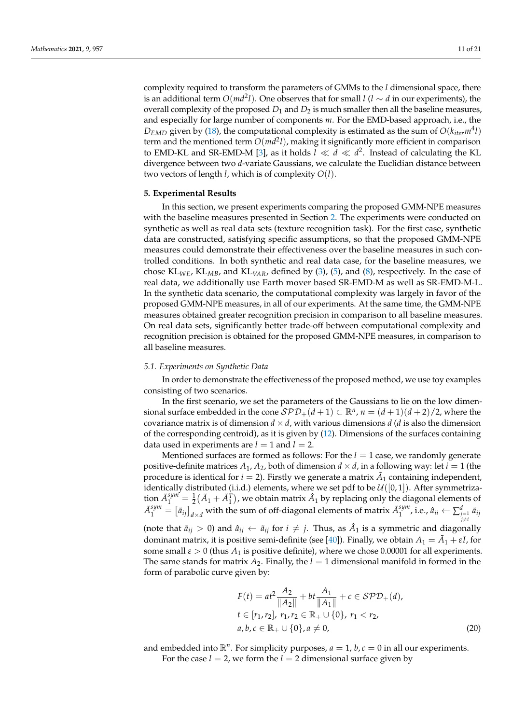complexity required to transform the parameters of GMMs to the *l* dimensional space, there is an additional term  $O(md^2l)$ . One observes that for small *l* (*l* ∼ *d* in our experiments), the overall complexity of the proposed  $D_1$  and  $D_2$  is much smaller then all the baseline measures, and especially for large number of components *m*. For the EMD-based approach, i.e., the  $D_{EMD}$  given by [\(18\)](#page-8-1), the computational complexity is estimated as the sum of  $O(k_{iter}m<sup>4</sup>l)$ term and the mentioned term *O*(*md*<sup>2</sup> *l*), making it significantly more efficient in comparison to EMD-KL and SR-EMD-M [\[3\]](#page-19-2), as it holds  $l \ll d \ll d^2$ . Instead of calculating the KL divergence between two *d*-variate Gaussians, we calculate the Euclidian distance between two vectors of length *l*, which is of complexity *O*(*l*).

#### **5. Experimental Results**

In this section, we present experiments comparing the proposed GMM-NPE measures with the baseline measures presented in Section [2.](#page-2-1) The experiments were conducted on synthetic as well as real data sets (texture recognition task). For the first case, synthetic data are constructed, satisfying specific assumptions, so that the proposed GMM-NPE measures could demonstrate their effectiveness over the baseline measures in such controlled conditions. In both synthetic and real data case, for the baseline measures, we chose KL*WE*, KL*MB*, and KL*VAR*, defined by [\(3\)](#page-3-1), [\(5\)](#page-3-2), and [\(8\)](#page-4-1), respectively. In the case of real data, we additionally use Earth mover based SR-EMD-M as well as SR-EMD-M-L. In the synthetic data scenario, the computational complexity was largely in favor of the proposed GMM-NPE measures, in all of our experiments. At the same time, the GMM-NPE measures obtained greater recognition precision in comparison to all baseline measures. On real data sets, significantly better trade-off between computational complexity and recognition precision is obtained for the proposed GMM-NPE measures, in comparison to all baseline measures.

#### *5.1. Experiments on Synthetic Data*

In order to demonstrate the effectiveness of the proposed method, we use toy examples consisting of two scenarios.

In the first scenario, we set the parameters of the Gaussians to lie on the low dimensional surface embedded in the cone  $\mathcal{SPD}_+(d+1) \subset \mathbb{R}^n$ ,  $n = (d+1)(d+2)/2$ , where the covariance matrix is of dimension  $d \times d$ , with various dimensions  $d$  ( $d$  is also the dimension of the corresponding centroid), as it is given by [\(12\)](#page-6-0). Dimensions of the surfaces containing data used in experiments are  $l = 1$  and  $l = 2$ .

Mentioned surfaces are formed as follows: For the  $l = 1$  case, we randomly generate positive-definite matrices  $A_1$ ,  $A_2$ , both of dimension  $d \times d$ , in a following way: let  $i = 1$  (the procedure is identical for  $i = 2$ ). Firstly we generate a matrix  $\tilde{A}_1$  containing independent, identically distributed (i.i.d.) elements, where we set pdf to be  $\mathcal{U}([0,1])$ . After symmetrization  $\tilde{A}^{sym}_1 = \frac{1}{2}(\tilde{A}_1 + \tilde{A}_1^T)$ , we obtain matrix  $\hat{A}_1$  by replacing only the diagonal elements of  $A_1^{sym}$  =  $[\tilde{a}_{ij}]$ <sub>d×*d*</sub> with the sum of off-diagonal elements of matrix  $\tilde{A}_1^{sym}$  $\mathbf{f}_1^{sym}$ , i.e.,  $\hat{a}_{ii} \leftarrow \sum_{\substack{j=1 \ j \neq i}}^d \tilde{a}_{ij}$ (note that  $\tilde{a}_{ij} > 0$ ) and  $\hat{a}_{ij} \leftarrow \tilde{a}_{ij}$  for  $i \neq j$ . Thus, as  $\hat{A}_1$  is a symmetric and diagonally dominant matrix, it is positive semi-definite (see [\[40\]](#page-20-12)). Finally, we obtain  $A_1 = \tilde{A}_1 + \varepsilon I$ , for

some small  $\varepsilon > 0$  (thus  $A_1$  is positive definite), where we chose 0.00001 for all experiments. The same stands for matrix  $A_2$ . Finally, the  $l = 1$  dimensional manifold in formed in the form of parabolic curve given by:

<span id="page-10-0"></span>
$$
F(t) = at^2 \frac{A_2}{\|A_2\|} + bt \frac{A_1}{\|A_1\|} + c \in \mathcal{SPD}_+(d),
$$
  
\n
$$
t \in [r_1, r_2], r_1, r_2 \in \mathbb{R}_+ \cup \{0\}, r_1 < r_2,
$$
  
\n
$$
a, b, c \in \mathbb{R}_+ \cup \{0\}, a \neq 0,
$$
\n(20)

and embedded into  $\mathbb{R}^n$ . For simplicity purposes,  $a = 1$ ,  $b$ ,  $c = 0$  in all our experiments. For the case  $l = 2$ , we form the  $l = 2$  dimensional surface given by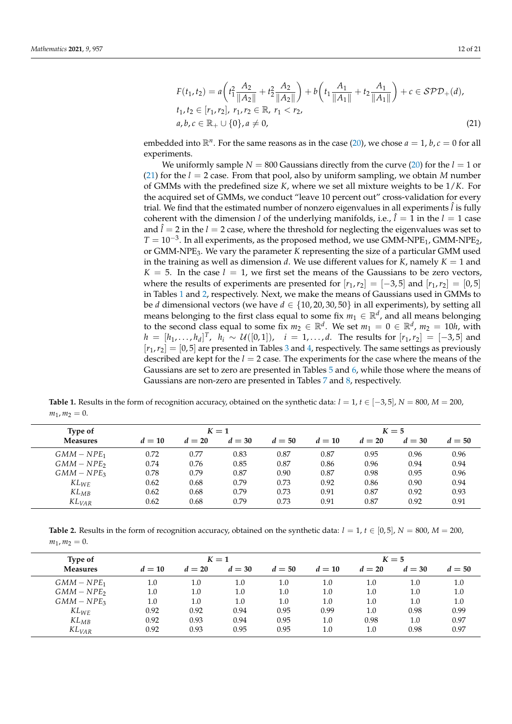<span id="page-11-0"></span>
$$
F(t_1, t_2) = a \left( t_1^2 \frac{A_2}{\|A_2\|} + t_2^2 \frac{A_2}{\|A_2\|} \right) + b \left( t_1 \frac{A_1}{\|A_1\|} + t_2 \frac{A_1}{\|A_1\|} \right) + c \in \mathcal{SPD}_+(d),
$$
  
\n
$$
t_1, t_2 \in [r_1, r_2], r_1, r_2 \in \mathbb{R}, r_1 < r_2,
$$
  
\n
$$
a, b, c \in \mathbb{R}_+ \cup \{0\}, a \neq 0,
$$
\n(21)

embedded into  $\mathbb{R}^n$ . For the same reasons as in the case [\(20\)](#page-10-0), we chose  $a = 1$ ,  $b$ ,  $c = 0$  for all experiments.

We uniformly sample  $N = 800$  Gaussians directly from the curve [\(20\)](#page-10-0) for the  $l = 1$  or [\(21\)](#page-11-0) for the *l* = 2 case. From that pool, also by uniform sampling, we obtain *M* number of GMMs with the predefined size *K*, where we set all mixture weights to be 1/*K*. For the acquired set of GMMs, we conduct "leave 10 percent out" cross-validation for every trial. We find that the estimated number of nonzero eigenvalues in all experiments  $\hat{l}$  is fully coherent with the dimension *l* of the underlying manifolds, i.e.,  $\hat{l} = 1$  in the  $l = 1$  case and  $\hat{l} = 2$  in the  $l = 2$  case, where the threshold for neglecting the eigenvalues was set to  $T = 10^{-3}$ . In all experiments, as the proposed method, we use GMM-NPE<sub>1</sub>, GMM-NPE<sub>2</sub>, or GMM-NPE3. We vary the parameter *K* representing the size of a particular GMM used in the training as well as dimension *d*. We use different values for *K*, namely  $K = 1$  and  $K = 5$ . In the case  $l = 1$ , we first set the means of the Gaussians to be zero vectors, where the results of experiments are presented for  $[r_1, r_2] = [-3, 5]$  and  $[r_1, r_2] = [0, 5]$ in Tables [1](#page-11-1) and [2,](#page-11-2) respectively. Next, we make the means of Gaussians used in GMMs to be *d* dimensional vectors (we have  $d \in \{10, 20, 30, 50\}$  in all experiments), by setting all means belonging to the first class equal to some fix  $m_1 \in \mathbb{R}^d$ , and all means belonging to the second class equal to some fix  $m_2 \in \mathbb{R}^d$ . We set  $m_1 = 0 \in \mathbb{R}^d$ ,  $m_2 = 10h$ , with *h* =  $[h_1, ..., h_d]^T$ ,  $h_i \sim U([0, 1])$ , *i* = 1, ...,*d*. The results for  $[r_1, r_2] = [-3, 5]$  and  $[r_1, r_2] = [0, 5]$  are presented in Tables [3](#page-12-0) and [4,](#page-12-1) respectively. The same settings as previously described are kept for the *l* = 2 case. The experiments for the case where the means of the Gaussians are set to zero are presented in Tables [5](#page-12-2) and [6,](#page-12-3) while those where the means of Gaussians are non-zero are presented in Tables [7](#page-13-0) and [8,](#page-13-1) respectively.

<span id="page-11-1"></span>**Table 1.** Results in the form of recognition accuracy, obtained on the synthetic data:  $l = 1$ ,  $t \in [-3, 5]$ ,  $N = 800$ ,  $M = 200$ ,  $m_1, m_2 = 0.$ 

| Type of             |        |        | $K=1$  |        |        | $K=5$  |        |        |  |  |  |
|---------------------|--------|--------|--------|--------|--------|--------|--------|--------|--|--|--|
| <b>Measures</b>     | $d=10$ | $d=20$ | $d=30$ | $d=50$ | $d=10$ | $d=20$ | $d=30$ | $d=50$ |  |  |  |
| $GMM-NPE_1$         | 0.72   | 0.77   | 0.83   | 0.87   | 0.87   | 0.95   | 0.96   | 0.96   |  |  |  |
| $GMM-NPE2$          | 0.74   | 0.76   | 0.85   | 0.87   | 0.86   | 0.96   | 0.94   | 0.94   |  |  |  |
| $GMM-NPE3$          | 0.78   | 0.79   | 0.87   | 0.90   | 0.87   | 0.98   | 0.95   | 0.96   |  |  |  |
| $KL_{WE}$           | 0.62   | 0.68   | 0.79   | 0.73   | 0.92   | 0.86   | 0.90   | 0.94   |  |  |  |
| $KL_{MB}$           | 0.62   | 0.68   | 0.79   | 0.73   | 0.91   | 0.87   | 0.92   | 0.93   |  |  |  |
| $KL$ <sub>VAR</sub> | 0.62   | 0.68   | 0.79   | 0.73   | 0.91   | 0.87   | 0.92   | 0.91   |  |  |  |

<span id="page-11-2"></span>**Table 2.** Results in the form of recognition accuracy, obtained on the synthetic data:  $l = 1$ ,  $t \in [0, 5]$ ,  $N = 800$ ,  $M = 200$ ,  $m_1, m_2 = 0.$ 

| Type of             |         |        | $K=1$  |        | $K=5$  |        |        |        |  |
|---------------------|---------|--------|--------|--------|--------|--------|--------|--------|--|
| <b>Measures</b>     | $d=10$  | $d=20$ | $d=30$ | $d=50$ | $d=10$ | $d=20$ | $d=30$ | $d=50$ |  |
| $GMM-NPE1$          | 1.0     | 1.0    | 1.0    | 1.0    | 1.0    | 1.0    | 1.0    | 1.0    |  |
| $GMM-NPE2$          | $1.0\,$ | 1.0    | 1.0    | 1.0    | 1.0    | 1.0    | 1.0    | 1.0    |  |
| $GMM-NPE3$          | 1.0     | 1.0    | 1.0    | 1.0    | 1.0    | 1.0    | 1.0    | 1.0    |  |
| $KL_{WE}$           | 0.92    | 0.92   | 0.94   | 0.95   | 0.99   | 1.0    | 0.98   | 0.99   |  |
| $KL_{MB}$           | 0.92    | 0.93   | 0.94   | 0.95   | 1.0    | 0.98   | 1.0    | 0.97   |  |
| $KL$ <sub>VAR</sub> | 0.92    | 0.93   | 0.95   | 0.95   | 1.0    | 1.0    | 0.98   | 0.97   |  |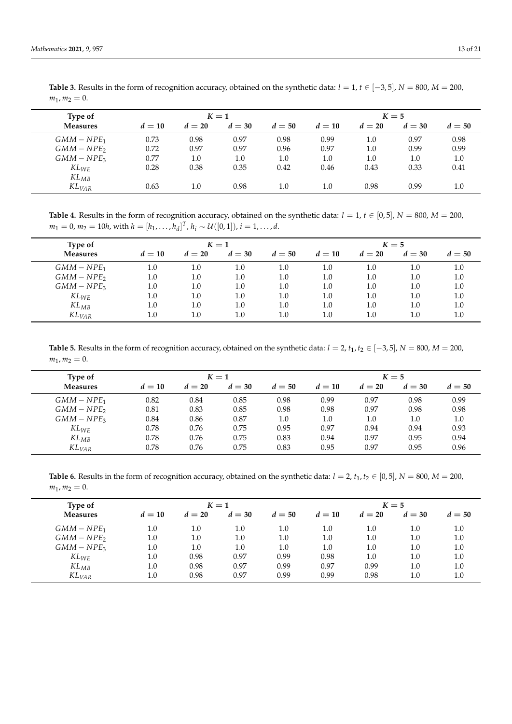| Type of             |        |        | $K=1$  |        |        | $K=5$  |        |         |  |  |  |
|---------------------|--------|--------|--------|--------|--------|--------|--------|---------|--|--|--|
| <b>Measures</b>     | $d=10$ | $d=20$ | $d=30$ | $d=50$ | $d=10$ | $d=20$ | $d=30$ | $d=50$  |  |  |  |
| $GMM-NPE1$          | 0.73   | 0.98   | 0.97   | 0.98   | 0.99   | 1.0    | 0.97   | 0.98    |  |  |  |
| $GMM-NPE2$          | 0.72   | 0.97   | 0.97   | 0.96   | 0.97   | 1.0    | 0.99   | 0.99    |  |  |  |
| $GMM-NPE3$          | 0.77   | 1.0    | 1.0    | 1.0    | 1.0    | 1.0    | 1.0    | 1.0     |  |  |  |
| $KL_{WE}$           | 0.28   | 0.38   | 0.35   | 0.42   | 0.46   | 0.43   | 0.33   | 0.41    |  |  |  |
| $KL_{MB}$           |        |        |        |        |        |        |        |         |  |  |  |
| $KL$ <sub>VAR</sub> | 0.63   | 1.0    | 0.98   | 1.0    | 1.0    | 0.98   | 0.99   | $1.0\,$ |  |  |  |

<span id="page-12-0"></span>Table 3. Results in the form of recognition accuracy, obtained on the synthetic data:  $l = 1$ ,  $t \in [-3, 5]$ ,  $N = 800$ ,  $M = 200$ ,  $m_1, m_2 = 0.$ 

<span id="page-12-1"></span>**Table 4.** Results in the form of recognition accuracy, obtained on the synthetic data:  $l = 1$ ,  $t \in [0, 5]$ ,  $N = 800$ ,  $M = 200$ ,  $m_1 = 0$ ,  $m_2 = 10h$ , with  $h = [h_1, \ldots, h_d]^T$ ,  $h_i \sim \mathcal{U}([0, 1])$ ,  $i = 1, \ldots, d$ .

| Type of     | $K=1$   |         |         |        |         |        | $K=5$  |         |  |  |  |  |
|-------------|---------|---------|---------|--------|---------|--------|--------|---------|--|--|--|--|
| Measures    | $d=10$  | $d=20$  | $d=30$  | $d=50$ | $d=10$  | $d=20$ | $d=30$ | $d=50$  |  |  |  |  |
| $GMM-NPE_1$ | $1.0\,$ | 1.0     | $1.0\,$ | 1.0    | 1.0     | 1.0    | 1.0    | 1.0     |  |  |  |  |
| $GMM-NPE2$  | $1.0\,$ | $1.0\,$ | 1.0     | 1.0    | $1.0\,$ | 1.0    | 1.0    | $1.0\,$ |  |  |  |  |
| $GMM-NPE3$  | $1.0\,$ | $1.0\,$ | 1.0     | 1.0    | $1.0\,$ | 1.0    | 1.0    | 1.0     |  |  |  |  |
| $KL_{WE}$   | $1.0\,$ | $1.0\,$ | 1.0     | 1.0    | 1.0     | 1.0    | 1.0    | 1.0     |  |  |  |  |
| $KL_{MB}$   | $1.0\,$ | $1.0\,$ | 1.0     | 1.0    | 1.0     | 1.0    | 1.0    | 1.0     |  |  |  |  |
| $KL_{VAR}$  | 1.0     | $1.0\,$ | $1.0\,$ | 1.0    | $1.0\,$ | 1.0    | 1.0    | $1.0\,$ |  |  |  |  |

<span id="page-12-2"></span>Table 5. Results in the form of recognition accuracy, obtained on the synthetic data:  $l = 2$ ,  $t_1$ ,  $t_2 \in [-3, 5]$ ,  $N = 800$ ,  $M = 200$ ,  $m_1, m_2 = 0.$ 

| Type of         | $K=1$  |        |        |        |        |        | $K=5$  |        |  |  |  |  |
|-----------------|--------|--------|--------|--------|--------|--------|--------|--------|--|--|--|--|
| <b>Measures</b> | $d=10$ | $d=20$ | $d=30$ | $d=50$ | $d=10$ | $d=20$ | $d=30$ | $d=50$ |  |  |  |  |
| $GMM-NPE_1$     | 0.82   | 0.84   | 0.85   | 0.98   | 0.99   | 0.97   | 0.98   | 0.99   |  |  |  |  |
| $GMM-NPE2$      | 0.81   | 0.83   | 0.85   | 0.98   | 0.98   | 0.97   | 0.98   | 0.98   |  |  |  |  |
| $GMM-NPE3$      | 0.84   | 0.86   | 0.87   | 1.0    | 1.0    | 1.0    | 1.0    | 1.0    |  |  |  |  |
| $KL_{WE}$       | 0.78   | 0.76   | 0.75   | 0.95   | 0.97   | 0.94   | 0.94   | 0.93   |  |  |  |  |
| $KL_{MB}$       | 0.78   | 0.76   | 0.75   | 0.83   | 0.94   | 0.97   | 0.95   | 0.94   |  |  |  |  |
| $KL_{VAR}$      | 0.78   | 0.76   | 0.75   | 0.83   | 0.95   | 0.97   | 0.95   | 0.96   |  |  |  |  |

<span id="page-12-3"></span>**Table 6.** Results in the form of recognition accuracy, obtained on the synthetic data:  $l = 2$ ,  $t_1$ ,  $t_2 \in [0, 5]$ ,  $N = 800$ ,  $M = 200$ ,  $m_1, m_2 = 0.$ 

| Type of             | $K=1$   |         |        |         |        |         | $K=5$  |        |  |  |  |  |
|---------------------|---------|---------|--------|---------|--------|---------|--------|--------|--|--|--|--|
| Measures            | $d=10$  | $d=20$  | $d=30$ | $d=50$  | $d=10$ | $d=20$  | $d=30$ | $d=50$ |  |  |  |  |
| $GMM-NPE_1$         | $1.0\,$ | $1.0\,$ | 1.0    | 1.0     | 1.0    | 1.0     | 1.0    | 1.0    |  |  |  |  |
| $GMM-NPE2$          | $1.0\,$ | 1.0     | 1.0    | $1.0\,$ | 1.0    | $1.0\,$ | 1.0    | 1.0    |  |  |  |  |
| $GMM-NPE3$          | $1.0\,$ | 1.0     | 1.0    | $1.0\,$ | 1.0    | $1.0\,$ | 1.0    | 1.0    |  |  |  |  |
| $KL_{WE}$           | $1.0\,$ | 0.98    | 0.97   | 0.99    | 0.98   | 1.0     | 1.0    | 1.0    |  |  |  |  |
| $KL_{MB}$           | $1.0\,$ | 0.98    | 0.97   | 0.99    | 0.97   | 0.99    | 1.0    | 1.0    |  |  |  |  |
| $KL$ <sub>VAR</sub> | $1.0\,$ | 0.98    | 0.97   | 0.99    | 0.99   | 0.98    | 1.0    | 1.0    |  |  |  |  |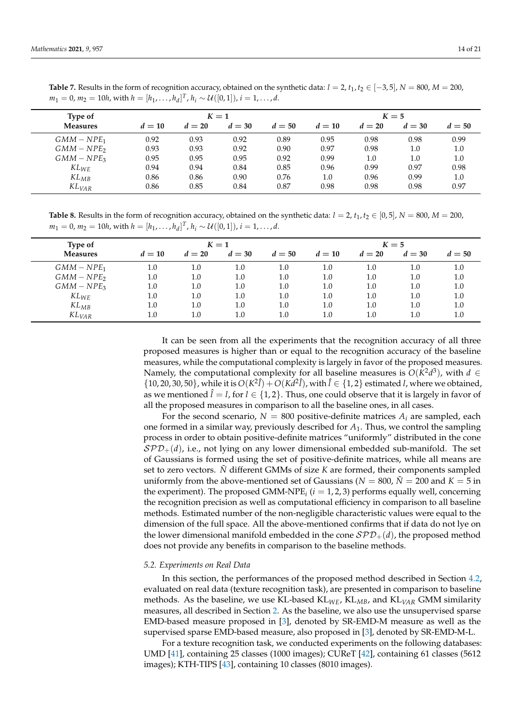| Type of             |        |        | $K=1$  |        |        | $K=5$  |        |         |  |  |  |
|---------------------|--------|--------|--------|--------|--------|--------|--------|---------|--|--|--|
| <b>Measures</b>     | $d=10$ | $d=20$ | $d=30$ | $d=50$ | $d=10$ | $d=20$ | $d=30$ | $d=50$  |  |  |  |
| $GMM-NPE_1$         | 0.92   | 0.93   | 0.92   | 0.89   | 0.95   | 0.98   | 0.98   | 0.99    |  |  |  |
| $GMM-NPE$           | 0.93   | 0.93   | 0.92   | 0.90   | 0.97   | 0.98   | 1.0    | $1.0\,$ |  |  |  |
| $GMM-NPE3$          | 0.95   | 0.95   | 0.95   | 0.92   | 0.99   | 1.0    | 1.0    | $1.0\,$ |  |  |  |
| $KL_{WE}$           | 0.94   | 0.94   | 0.84   | 0.85   | 0.96   | 0.99   | 0.97   | 0.98    |  |  |  |
| $KL_{MB}$           | 0.86   | 0.86   | 0.90   | 0.76   | 1.0    | 0.96   | 0.99   | 1.0     |  |  |  |
| $KL$ <sub>VAR</sub> | 0.86   | 0.85   | 0.84   | 0.87   | 0.98   | 0.98   | 0.98   | 0.97    |  |  |  |

<span id="page-13-0"></span>**Table 7.** Results in the form of recognition accuracy, obtained on the synthetic data:  $l = 2$ ,  $t_1$ ,  $t_2 \in [-3, 5]$ ,  $N = 800$ ,  $M = 200$ ,  $m_1 = 0$ ,  $m_2 = 10h$ , with  $h = [h_1, \ldots, h_d]^T$ ,  $h_i \sim \mathcal{U}([0, 1])$ ,  $i = 1, \ldots, d$ .

<span id="page-13-1"></span>**Table 8.** Results in the form of recognition accuracy, obtained on the synthetic data:  $l = 2$ ,  $t_1$ ,  $t_2 \in [0, 5]$ ,  $N = 800$ ,  $M = 200$ ,  $m_1 = 0$ ,  $m_2 = 10h$ , with  $h = [h_1, \ldots, h_d]^T$ ,  $h_i \sim \mathcal{U}([0, 1])$ ,  $i = 1, \ldots, d$ .

| Type of             | $K=1$   |         |         |        |        |        | $K=5$  |         |  |  |  |  |
|---------------------|---------|---------|---------|--------|--------|--------|--------|---------|--|--|--|--|
| <b>Measures</b>     | $d=10$  | $d=20$  | $d=30$  | $d=50$ | $d=10$ | $d=20$ | $d=30$ | $d=50$  |  |  |  |  |
| $GMM-NPE_1$         | $1.0\,$ | $1.0\,$ | 1.0     | 1.0    | 1.0    | 1.0    | 1.0    | 1.0     |  |  |  |  |
| $GMM-NPE2$          | 1.0     | 1.0     | 1.0     | 1.0    | 1.0    | 1.0    | 1.0    | $1.0\,$ |  |  |  |  |
| $GMM-NPE3$          | $1.0\,$ | 1.0     | 1.0     | 1.0    | 1.0    | 1.0    | 1.0    | $1.0\,$ |  |  |  |  |
| $KL_{WE}$           | $1.0\,$ | 1.0     | 1.0     | 1.0    | 1.0    | 1.0    | 1.0    | $1.0\,$ |  |  |  |  |
| $KL_{MB}$           | $1.0\,$ | 1.0     | 1.0     | 1.0    | 1.0    | 1.0    | 1.0    | $1.0\,$ |  |  |  |  |
| $KL$ <sub>VAR</sub> | $1.0\,$ | $1.0\,$ | $1.0\,$ | 1.0    | 1.0    | 1.0    | 1.0    | 1.0     |  |  |  |  |

It can be seen from all the experiments that the recognition accuracy of all three proposed measures is higher than or equal to the recognition accuracy of the baseline measures, while the computational complexity is largely in favor of the proposed measures. Namely, the computational complexity for all baseline measures is  $O(K^2d^3)$ , with  $d \in$  $\{10, 20, 30, 50\}$ , while it is  $O(K^2\hat{l}) + O(Kd^2\hat{l})$ , with  $\hat{l} \in \{1, 2\}$  estimated *l*, where we obtained, as we mentioned  $\hat{l} = l$ , for  $l \in \{1,2\}$ . Thus, one could observe that it is largely in favor of all the proposed measures in comparison to all the baseline ones, in all cases.

For the second scenario,  $N = 800$  positive-definite matrices  $A_i$  are sampled, each one formed in a similar way, previously described for *A*1. Thus, we control the sampling process in order to obtain positive-definite matrices "uniformly" distributed in the cone  $SPD_{+}(d)$ , i.e., not lying on any lower dimensional embedded sub-manifold. The set of Gaussians is formed using the set of positive-definite matrices, while all means are set to zero vectors. *N*˜ different GMMs of size *K* are formed, their components sampled uniformly from the above-mentioned set of Gaussians ( $N = 800$ ,  $\tilde{N} = 200$  and  $K = 5$  in the experiment). The proposed GMM-NPE*<sup>i</sup>* (*i* = 1, 2, 3) performs equally well, concerning the recognition precision as well as computational efficiency in comparison to all baseline methods. Estimated number of the non-negligible characteristic values were equal to the dimension of the full space. All the above-mentioned confirms that if data do not lye on the lower dimensional manifold embedded in the cone  $SPD_{+}(d)$ , the proposed method does not provide any benefits in comparison to the baseline methods.

#### *5.2. Experiments on Real Data*

In this section, the performances of the proposed method described in Section [4.2,](#page-7-1) evaluated on real data (texture recognition task), are presented in comparison to baseline methods. As the baseline, we use KL-based KL*WE*, KL*MB*, and KL*VAR* GMM similarity measures, all described in Section [2.](#page-2-1) As the baseline, we also use the unsupervised sparse EMD-based measure proposed in [\[3\]](#page-19-2), denoted by SR-EMD-M measure as well as the supervised sparse EMD-based measure, also proposed in [\[3\]](#page-19-2), denoted by SR-EMD-M-L.

For a texture recognition task, we conducted experiments on the following databases: UMD [\[41\]](#page-20-13), containing 25 classes (1000 images); CUReT [\[42\]](#page-20-14), containing 61 classes (5612 images); KTH-TIPS [\[43\]](#page-20-15), containing 10 classes (8010 images).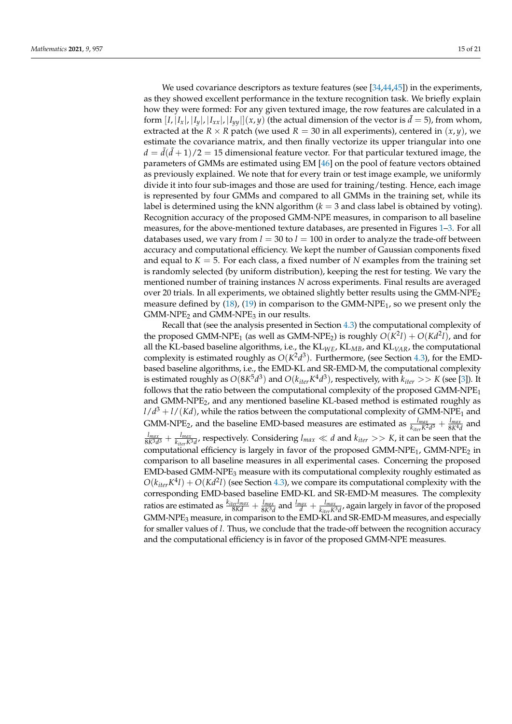We used covariance descriptors as texture features (see [\[34,](#page-20-6)[44,](#page-20-16)[45\]](#page-20-17)) in the experiments, as they showed excellent performance in the texture recognition task. We briefly explain how they were formed: For any given textured image, the row features are calculated in a form  $[I, |I_x|, |I_y|, |I_{xx}|, |I_{yy}|](x, y)$  (the actual dimension of the vector is  $\tilde{d} = 5$ ), from whom, extracted at the *R* × *R* patch (we used *R* = 30 in all experiments), centered in  $(x, y)$ , we estimate the covariance matrix, and then finally vectorize its upper triangular into one  $d = \tilde{d}(\tilde{d} + 1)/2 = 15$  dimensional feature vector. For that particular textured image, the parameters of GMMs are estimated using EM [\[46\]](#page-20-18) on the pool of feature vectors obtained as previously explained. We note that for every train or test image example, we uniformly divide it into four sub-images and those are used for training/testing. Hence, each image is represented by four GMMs and compared to all GMMs in the training set, while its label is determined using the kNN algorithm  $(k = 3$  and class label is obtained by voting). Recognition accuracy of the proposed GMM-NPE measures, in comparison to all baseline measures, for the above-mentioned texture databases, are presented in Figures [1–](#page-15-0)[3.](#page-17-0) For all databases used, we vary from  $l = 30$  to  $l = 100$  in order to analyze the trade-off between accuracy and computational efficiency. We kept the number of Gaussian components fixed and equal to  $K = 5$ . For each class, a fixed number of N examples from the training set is randomly selected (by uniform distribution), keeping the rest for testing. We vary the mentioned number of training instances *N* across experiments. Final results are averaged over 20 trials. In all experiments, we obtained slightly better results using the  $GMM-NPE<sub>2</sub>$ measure defined by  $(18)$ ,  $(19)$  in comparison to the GMM-NPE<sub>1</sub>, so we present only the  $GMM-NPE<sub>2</sub>$  and  $GMM-NPE<sub>3</sub>$  in our results.

Recall that (see the analysis presented in Section [4.3\)](#page-9-1) the computational complexity of the proposed GMM-NPE<sub>1</sub> (as well as GMM-NPE<sub>2</sub>) is roughly  $O(K^2l) + O(Kd^2l)$ , and for all the KL-based baseline algorithms, i.e., the KL*WE*, KL*MB*, and KL*VAR*, the computational complexity is estimated roughly as  $O(K^2d^3)$ . Furthermore, (see Section [4.3\)](#page-9-1), for the EMDbased baseline algorithms, i.e., the EMD-KL and SR-EMD-M, the computational complexity is estimated roughly as  $O(8K^5d^3)$  and  $O(k_{iter}K^4d^3)$ , respectively, with  $k_{iter}>>K$  (see [\[3\]](#page-19-2)). It follows that the ratio between the computational complexity of the proposed  $GMM-NPE<sub>1</sub>$ and GMM-NPE2, and any mentioned baseline KL-based method is estimated roughly as  $l/d^3 + l/(Kd)$ , while the ratios between the computational complexity of GMM-NPE<sub>1</sub> and GMM-NPE<sub>2</sub>, and the baseline EMD-based measures are estimated as  $\frac{l_{max}}{k_{iter}K^2d^3} + \frac{l_{max}}{8K^4d}$  and  $\frac{l_{max}}{8K^3d^3} + \frac{l_{max}}{k_{iter}K^3d}$ , respectively. Considering  $l_{max} \ll d$  and  $k_{iter} >> K$ , it can be seen that the computational efficiency is largely in favor of the proposed GMM-NPE<sub>1</sub>, GMM-NPE<sub>2</sub> in comparison to all baseline measures in all experimental cases. Concerning the proposed  $EMD$ -based GMM-NPE<sub>3</sub> measure with its computational complexity roughly estimated as  $O(k_{iter}K^4l) + O(Kd^2l)$  (see Section [4.3\)](#page-9-1), we compare its computational complexity with the corresponding EMD-based baseline EMD-KL and SR-EMD-M measures. The complexity ratios are estimated as  $\frac{k_{iter}I_{max}}{8Kd} + \frac{I_{max}}{8K^3d}$  and  $\frac{I_{max}}{d} + \frac{I_{max}}{k_{iter}K^3d}$ , again largely in favor of the proposed GMM-NPE<sub>3</sub> measure, in comparison to the EMD-KL and SR-EMD-M measures, and especially for smaller values of *l*. Thus, we conclude that the trade-off between the recognition accuracy and the computational efficiency is in favor of the proposed GMM-NPE measures.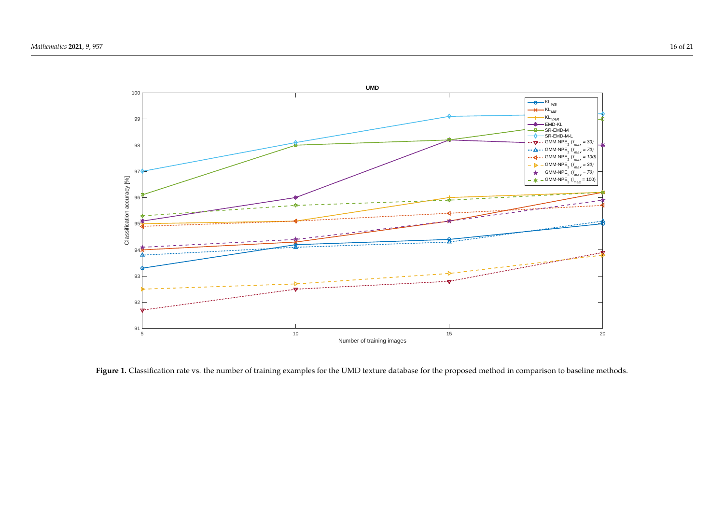

<span id="page-15-0"></span>Figure 1. Classification rate vs. the number of training examples for the UMD texture database for the proposed method in comparison to baseline methods.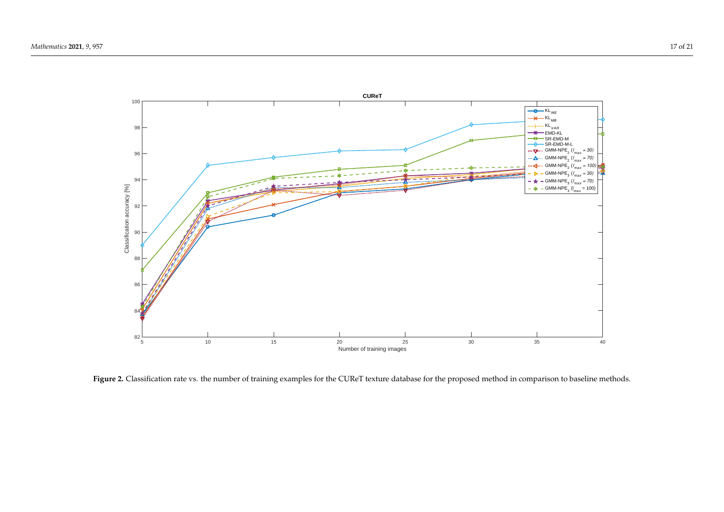

**Figure 2.** Classification rate vs. the number of training examples for the CUReT texture database for the proposed method in comparison to baseline methods.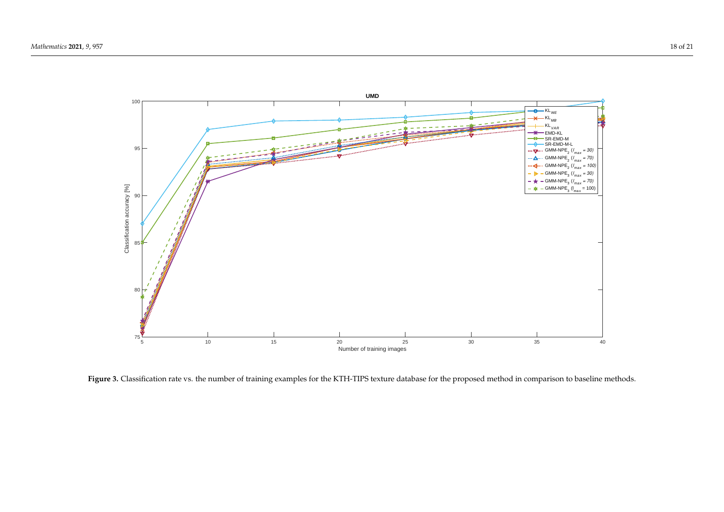

<span id="page-17-0"></span>Figure 3. Classification rate vs. the number of training examples for the KTH-TIPS texture database for the proposed method in comparison to baseline methods.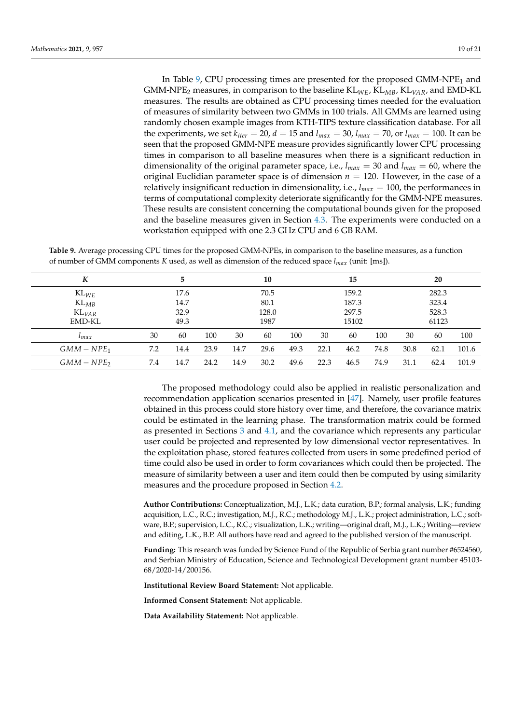In Table  $9$ , CPU processing times are presented for the proposed GMM-NPE<sub>1</sub> and GMM-NPE<sup>2</sup> measures, in comparison to the baseline KL*WE*, KL*MB*, KL*VAR*, and EMD-KL measures. The results are obtained as CPU processing times needed for the evaluation of measures of similarity between two GMMs in 100 trials. All GMMs are learned using randomly chosen example images from KTH-TIPS texture classification database. For all the experiments, we set  $k_{iter} = 20$ ,  $d = 15$  and  $l_{max} = 30$ ,  $l_{max} = 70$ , or  $l_{max} = 100$ . It can be seen that the proposed GMM-NPE measure provides significantly lower CPU processing times in comparison to all baseline measures when there is a significant reduction in dimensionality of the original parameter space, i.e.,  $l_{max} = 30$  and  $l_{max} = 60$ , where the original Euclidian parameter space is of dimension  $n = 120$ . However, in the case of a relatively insignificant reduction in dimensionality, i.e., *lmax* = 100, the performances in terms of computational complexity deteriorate significantly for the GMM-NPE measures. These results are consistent concerning the computational bounds given for the proposed and the baseline measures given in Section [4.3.](#page-9-1) The experiments were conducted on a workstation equipped with one 2.3 GHz CPU and 6 GB RAM.

<span id="page-18-0"></span>**Table 9.** Average processing CPU times for the proposed GMM-NPEs, in comparison to the baseline measures, as a function of number of GMM components *K* used, as well as dimension of the reduced space *lmax* (unit: [ms]).

| K                   | 5    |      |      |       | 10   |       |       | 15   |       |       | 20   |       |  |
|---------------------|------|------|------|-------|------|-------|-------|------|-------|-------|------|-------|--|
| $KL_{WE}$           | 17.6 |      |      | 70.5  |      |       | 159.2 |      |       | 282.3 |      |       |  |
| $KL_{MB}$           | 14.7 |      |      | 80.1  |      |       | 187.3 |      |       | 323.4 |      |       |  |
| $KL$ <sub>VAR</sub> | 32.9 |      |      | 128.0 |      |       | 297.5 |      |       | 528.3 |      |       |  |
| <b>EMD-KL</b>       |      | 49.3 |      | 1987  |      | 15102 |       |      | 61123 |       |      |       |  |
| $\iota_{max}$       | 30   | 60   | 100  | 30    | 60   | 100   | 30    | 60   | 100   | 30    | 60   | 100   |  |
| $GMM-NPE1$          | 7.2  | 14.4 | 23.9 | 14.7  | 29.6 | 49.3  | 22.1  | 46.2 | 74.8  | 30.8  | 62.1 | 101.6 |  |
| $GMM-NPE2$          | 7.4  | 14.7 | 24.2 | 14.9  | 30.2 | 49.6  | 22.3  | 46.5 | 74.9  | 31.1  | 62.4 | 101.9 |  |

The proposed methodology could also be applied in realistic personalization and recommendation application scenarios presented in [\[47\]](#page-20-19). Namely, user profile features obtained in this process could store history over time, and therefore, the covariance matrix could be estimated in the learning phase. The transformation matrix could be formed as presented in Sections [3](#page-4-0) and [4.1,](#page-5-1) and the covariance which represents any particular user could be projected and represented by low dimensional vector representatives. In the exploitation phase, stored features collected from users in some predefined period of time could also be used in order to form covariances which could then be projected. The measure of similarity between a user and item could then be computed by using similarity measures and the procedure proposed in Section [4.2.](#page-7-1)

**Author Contributions:** Conceptualization, M.J., L.K.; data curation, B.P.; formal analysis, L.K.; funding acquisition, L.C., R.C.; investigation, M.J., R.C.; methodology M.J., L.K.; project administration, L.C.; software, B.P.; supervision, L.C., R.C.; visualization, L.K.; writing—original draft, M.J., L.K.; Writing—review and editing, L.K., B.P. All authors have read and agreed to the published version of the manuscript.

**Funding:** This research was funded by Science Fund of the Republic of Serbia grant number #6524560, and Serbian Ministry of Education, Science and Technological Development grant number 45103- 68/2020-14/200156.

**Institutional Review Board Statement:** Not applicable.

**Informed Consent Statement:** Not applicable.

**Data Availability Statement:** Not applicable.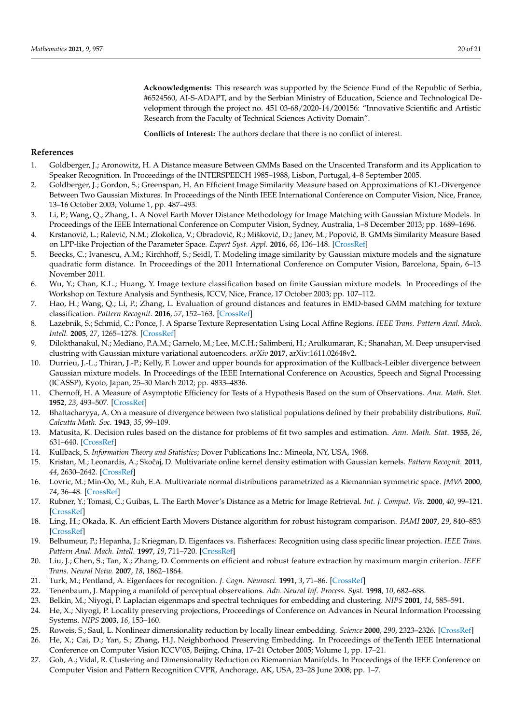**Acknowledgments:** This research was supported by the Science Fund of the Republic of Serbia, #6524560, AI-S-ADAPT, and by the Serbian Ministry of Education, Science and Technological Development through the project no. 451 03-68/2020-14/200156: "Innovative Scientific and Artistic Research from the Faculty of Technical Sciences Activity Domain".

**Conflicts of Interest:** The authors declare that there is no conflict of interest.

## **References**

- <span id="page-19-0"></span>1. Goldberger, J.; Aronowitz, H. A Distance measure Between GMMs Based on the Unscented Transform and its Application to Speaker Recognition. In Proceedings of the INTERSPEECH 1985–1988, Lisbon, Portugal, 4–8 September 2005.
- <span id="page-19-1"></span>2. Goldberger, J.; Gordon, S.; Greenspan, H. An Efficient Image Similarity Measure based on Approximations of KL-Divergence Between Two Gaussian Mixtures. In Proceedings of the Ninth IEEE International Conference on Computer Vision, Nice, France, 13–16 October 2003; Volume 1, pp. 487–493.
- <span id="page-19-2"></span>3. Li, P.; Wang, Q.; Zhang, L. A Novel Earth Mover Distance Methodology for Image Matching with Gaussian Mixture Models. In Proceedings of the IEEE International Conference on Computer Vision, Sydney, Australia, 1–8 December 2013; pp. 1689–1696.
- <span id="page-19-3"></span>4. Krstanović, L.; Ralević, N.M.; Zlokolica, V.; Obradović, R.; Mišković, D.; Janev, M.; Popović, B. GMMs Similarity Measure Based on LPP-like Projection of the Parameter Space. *Expert Syst. Appl.* **2016**, *66*, 136–148. [\[CrossRef\]](http://doi.org/10.1016/j.eswa.2016.09.014)
- <span id="page-19-4"></span>5. Beecks, C.; Ivanescu, A.M.; Kirchhoff, S.; Seidl, T. Modeling image similarity by Gaussian mixture models and the signature quadratic form distance. In Proceedings of the 2011 International Conference on Computer Vision, Barcelona, Spain, 6–13 November 2011.
- <span id="page-19-16"></span>6. Wu, Y.; Chan, K.L.; Huang, Y. Image texture classification based on finite Gaussian mixture models. In Proceedings of the Workshop on Texture Analysis and Synthesis, ICCV, Nice, France, 17 October 2003; pp. 107–112.
- <span id="page-19-7"></span>7. Hao, H.; Wang, Q.; Li, P.; Zhang, L. Evaluation of ground distances and features in EMD-based GMM matching for texture classification. *Pattern Recognit.* **2016**, *57*, 152–163. [\[CrossRef\]](http://dx.doi.org/10.1016/j.patcog.2016.03.001)
- <span id="page-19-5"></span>8. Lazebnik, S.; Schmid, C.; Ponce, J. A Sparse Texture Representation Using Local Affine Regions. *IEEE Trans. Pattern Anal. Mach. Intell.* **2005**, *27*, 1265–1278. [\[CrossRef\]](http://dx.doi.org/10.1109/TPAMI.2005.151)
- <span id="page-19-6"></span>9. Dilokthanakul, N.; Mediano, P.A.M.; Garnelo, M.; Lee, M.C.H.; Salimbeni, H.; Arulkumaran, K.; Shanahan, M. Deep unsupervised clustring with Gaussian mixture variational autoencoders. *arXiv* **2017**, arXiv:1611.02648v2.
- <span id="page-19-8"></span>10. Durrieu, J.-L.; Thiran, J.-P.; Kelly, F. Lower and upper bounds for approximation of the Kullback-Leibler divergence between Gaussian mixture models. In Proceedings of the IEEE International Conference on Acoustics, Speech and Signal Processing (ICASSP), Kyoto, Japan, 25–30 March 2012; pp. 4833–4836.
- <span id="page-19-9"></span>11. Chernoff, H. A Measure of Asymptotic Efficiency for Tests of a Hypothesis Based on the sum of Observations. *Ann. Math. Stat.* **1952**, *23*, 493–507. [\[CrossRef\]](http://dx.doi.org/10.1214/aoms/1177729330)
- 12. Bhattacharyya, A. On a measure of divergence between two statistical populations defined by their probability distributions. *Bull. Calcutta Math. Soc.* **1943**, *35*, 99–109.
- <span id="page-19-10"></span>13. Matusita, K. Decision rules based on the distance for problems of fit two samples and estimation. *Ann. Math. Stat.* **1955**, *26*, 631–640. [\[CrossRef\]](http://dx.doi.org/10.1214/aoms/1177728422)
- <span id="page-19-11"></span>14. Kullback, S. *Information Theory and Statistics*; Dover Publications Inc.: Mineola, NY, USA, 1968.
- <span id="page-19-12"></span>15. Kristan, M.; Leonardis, A.; Skoˇcaj, D. Multivariate online kernel density estimation with Gaussian kernels. *Pattern Recognit.* **2011**, *44*, 2630–2642. [\[CrossRef\]](http://dx.doi.org/10.1016/j.patcog.2011.03.019)
- <span id="page-19-13"></span>16. Lovric, M.; Min-Oo, M.; Ruh, E.A. Multivariate normal distributions parametrized as a Riemannian symmetric space. *JMVA* **2000**, *74*, 36–48. [\[CrossRef\]](http://dx.doi.org/10.1006/jmva.1999.1853)
- <span id="page-19-14"></span>17. Rubner, Y.; Tomasi, C.; Guibas, L. The Earth Mover's Distance as a Metric for Image Retrieval. *Int. J. Comput. Vis.* **2000**, *40*, 99–121. [\[CrossRef\]](http://dx.doi.org/10.1023/A:1026543900054)
- <span id="page-19-15"></span>18. Ling, H.; Okada, K. An efficient Earth Movers Distance algorithm for robust histogram comparison. *PAMI* **2007**, *29*, 840–853 [\[CrossRef\]](http://dx.doi.org/10.1109/TPAMI.2007.1058)
- <span id="page-19-17"></span>19. Belhumeur, P.; Hepanha, J.; Kriegman, D. Eigenfaces vs. Fisherfaces: Recognition using class specific linear projection. *IEEE Trans. Pattern Anal. Mach. Intell.* **1997**, *19*, 711–720. [\[CrossRef\]](http://dx.doi.org/10.1109/34.598228)
- <span id="page-19-18"></span>20. Liu, J.; Chen, S.; Tan, X.; Zhang, D. Comments on efficient and robust feature extraction by maximum margin criterion. *IEEE Trans. Neural Netw.* **2007**, *18*, 1862–1864.
- <span id="page-19-19"></span>21. Turk, M.; Pentland, A. Eigenfaces for recognition. *J. Cogn. Neurosci.* **1991**, *3*, 71–86. [\[CrossRef\]](http://dx.doi.org/10.1162/jocn.1991.3.1.71)
- <span id="page-19-20"></span>22. Tenenbaum, J. Mapping a manifold of perceptual observations. *Adv. Neural Inf. Process. Syst.* **1998**, *10*, 682–688.
- <span id="page-19-21"></span>23. Belkin, M.; Niyogi, P. Laplacian eigenmaps and spectral techniques for embedding and clustering. *NIPS* **2001**, *14*, 585–591.
- <span id="page-19-22"></span>24. He, X.; Niyogi, P. Locality preserving projections, Proceedings of Conference on Advances in Neural Information Processing Systems. *NIPS* **2003**, *16*, 153–160.
- <span id="page-19-23"></span>25. Roweis, S.; Saul, L. Nonlinear dimensionality reduction by locally linear embedding. *Science* **2000**, *290*, 2323–2326. [\[CrossRef\]](http://dx.doi.org/10.1126/science.290.5500.2323)
- <span id="page-19-24"></span>26. He, X.; Cai, D.; Yan, S.; Zhang, H.J. Neighborhood Preserving Embedding. In Proceedings of theTenth IEEE International Conference on Computer Vision ICCV'05, Beijing, China, 17–21 October 2005; Volume 1, pp. 17–21.
- <span id="page-19-25"></span>27. Goh, A.; Vidal, R. Clustering and Dimensionality Reduction on Riemannian Manifolds. In Proceedings of the IEEE Conference on Computer Vision and Pattern Recognition CVPR, Anchorage, AK, USA, 23–28 June 2008; pp. 1–7.